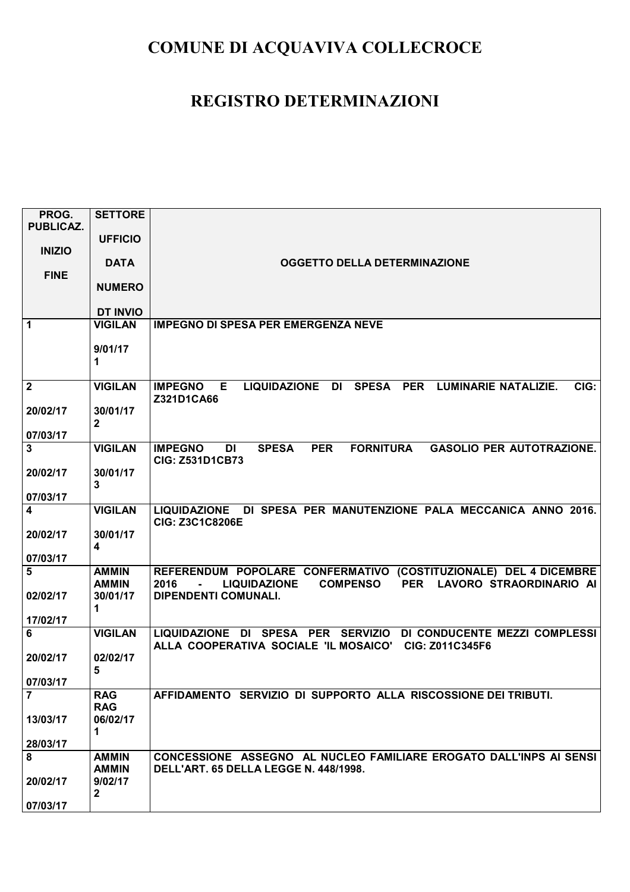| PROG.<br><b>PUBLICAZ.</b> | <b>SETTORE</b>          |                                                                                                             |
|---------------------------|-------------------------|-------------------------------------------------------------------------------------------------------------|
| <b>INIZIO</b>             | <b>UFFICIO</b>          |                                                                                                             |
|                           | <b>DATA</b>             | OGGETTO DELLA DETERMINAZIONE                                                                                |
| <b>FINE</b>               | <b>NUMERO</b>           |                                                                                                             |
|                           | <b>DT INVIO</b>         |                                                                                                             |
| $\mathbf 1$               | <b>VIGILAN</b>          | <b>IMPEGNO DI SPESA PER EMERGENZA NEVE</b>                                                                  |
|                           |                         |                                                                                                             |
|                           | 9/01/17                 |                                                                                                             |
|                           | 1                       |                                                                                                             |
| $\overline{\mathbf{c}}$   | <b>VIGILAN</b>          | E.<br>LIQUIDAZIONE DI<br>SPESA PER<br><b>LUMINARIE NATALIZIE.</b><br>CIG:<br><b>IMPEGNO</b>                 |
|                           |                         | Z321D1CA66                                                                                                  |
| 20/02/17                  | 30/01/17                |                                                                                                             |
| 07/03/17                  | $\mathbf{2}$            |                                                                                                             |
| 3                         | <b>VIGILAN</b>          | <b>IMPEGNO</b><br><b>SPESA</b><br><b>PER</b><br><b>FORNITURA</b><br><b>GASOLIO PER AUTOTRAZIONE.</b><br>DI  |
|                           |                         | <b>CIG: Z531D1CB73</b>                                                                                      |
| 20/02/17                  | 30/01/17                |                                                                                                             |
| 07/03/17                  | 3                       |                                                                                                             |
| $\overline{\mathbf{4}}$   | <b>VIGILAN</b>          | LIQUIDAZIONE DI SPESA PER MANUTENZIONE PALA MECCANICA ANNO 2016.                                            |
|                           |                         | <b>CIG: Z3C1C8206E</b>                                                                                      |
| 20/02/17                  | 30/01/17<br>4           |                                                                                                             |
| 07/03/17                  |                         |                                                                                                             |
| $5\phantom{1}$            | <b>AMMIN</b>            | REFERENDUM POPOLARE CONFERMATIVO (COSTITUZIONALE) DEL 4 DICEMBRE                                            |
|                           | <b>AMMIN</b>            | <b>COMPENSO</b><br>PER LAVORO STRAORDINARIO AI<br>2016<br><b>LIQUIDAZIONE</b><br>$\blacksquare$             |
| 02/02/17                  | 30/01/17<br>1           | DIPENDENTI COMUNALI.                                                                                        |
| 17/02/17                  |                         |                                                                                                             |
| 6                         | <b>VIGILAN</b>          | LIQUIDAZIONE DI SPESA PER SERVIZIO DI CONDUCENTE MEZZI COMPLESSI                                            |
| 20/02/17                  | 02/02/17                | ALLA COOPERATIVA SOCIALE 'IL MOSAICO' CIG: Z011C345F6                                                       |
|                           | 5                       |                                                                                                             |
| 07/03/17                  |                         |                                                                                                             |
| $\overline{7}$            | <b>RAG</b>              | AFFIDAMENTO SERVIZIO DI SUPPORTO ALLA RISCOSSIONE DEI TRIBUTI.                                              |
| 13/03/17                  | <b>RAG</b><br>06/02/17  |                                                                                                             |
|                           | 1                       |                                                                                                             |
| 28/03/17                  |                         |                                                                                                             |
| 8                         | <b>AMMIN</b>            | CONCESSIONE ASSEGNO AL NUCLEO FAMILIARE EROGATO DALL'INPS AI SENSI<br>DELL'ART. 65 DELLA LEGGE N. 448/1998. |
| 20/02/17                  | <b>AMMIN</b><br>9/02/17 |                                                                                                             |
|                           | $\mathbf{2}$            |                                                                                                             |
| 07/03/17                  |                         |                                                                                                             |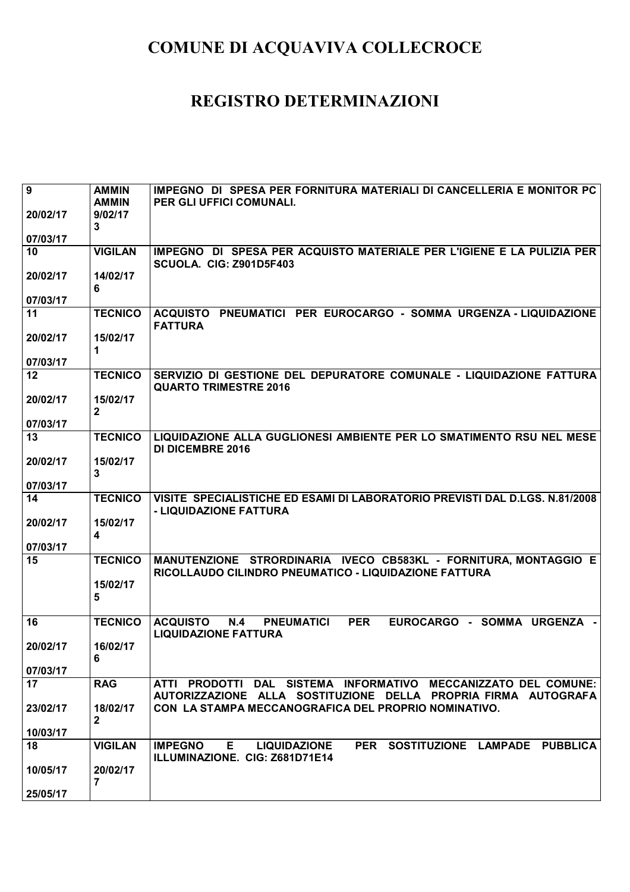| $\overline{9}$ | <b>AMMIN</b>               | IMPEGNO DI SPESA PER FORNITURA MATERIALI DI CANCELLERIA E MONITOR PC                                                             |
|----------------|----------------------------|----------------------------------------------------------------------------------------------------------------------------------|
|                | <b>AMMIN</b>               | PER GLI UFFICI COMUNALI.                                                                                                         |
| 20/02/17       | 9/02/17                    |                                                                                                                                  |
|                | $\mathbf{3}$               |                                                                                                                                  |
| 07/03/17       |                            |                                                                                                                                  |
| 10             | <b>VIGILAN</b>             | IMPEGNO DI SPESA PER ACQUISTO MATERIALE PER L'IGIENE E LA PULIZIA PER<br>SCUOLA. CIG: Z901D5F403                                 |
| 20/02/17       | 14/02/17                   |                                                                                                                                  |
|                | 6                          |                                                                                                                                  |
| 07/03/17       |                            |                                                                                                                                  |
| 11             | <b>TECNICO</b>             | ACQUISTO PNEUMATICI PER EUROCARGO - SOMMA URGENZA - LIQUIDAZIONE<br><b>FATTURA</b>                                               |
| 20/02/17       | 15/02/17                   |                                                                                                                                  |
|                | 1                          |                                                                                                                                  |
| 07/03/17       |                            |                                                                                                                                  |
| 12             | <b>TECNICO</b>             | SERVIZIO DI GESTIONE DEL DEPURATORE COMUNALE - LIQUIDAZIONE FATTURA<br><b>QUARTO TRIMESTRE 2016</b>                              |
| 20/02/17       | 15/02/17<br>$\overline{2}$ |                                                                                                                                  |
| 07/03/17       |                            |                                                                                                                                  |
| 13             | <b>TECNICO</b>             | LIQUIDAZIONE ALLA GUGLIONESI AMBIENTE PER LO SMATIMENTO RSU NEL MESE<br><b>DI DICEMBRE 2016</b>                                  |
| 20/02/17       | 15/02/17                   |                                                                                                                                  |
|                | $\overline{3}$             |                                                                                                                                  |
| 07/03/17       |                            |                                                                                                                                  |
| 14             | <b>TECNICO</b>             | VISITE SPECIALISTICHE ED ESAMI DI LABORATORIO PREVISTI DAL D.LGS. N.81/2008<br>- LIQUIDAZIONE FATTURA                            |
| 20/02/17       | 15/02/17                   |                                                                                                                                  |
|                | $\overline{\mathbf{4}}$    |                                                                                                                                  |
| 07/03/17       |                            |                                                                                                                                  |
| 15             | <b>TECNICO</b>             | MANUTENZIONE STRORDINARIA IVECO CB583KL - FORNITURA, MONTAGGIO E<br>RICOLLAUDO CILINDRO PNEUMATICO - LIQUIDAZIONE FATTURA        |
|                | 15/02/17                   |                                                                                                                                  |
|                | 5                          |                                                                                                                                  |
| 16             | <b>TECNICO</b>             | <b>ACQUISTO</b><br><b>PNEUMATICI</b><br><b>PER</b><br>EUROCARGO - SOMMA URGENZA -<br>N.4                                         |
|                |                            | <b>LIQUIDAZIONE FATTURA</b>                                                                                                      |
| 20/02/17       | 16/02/17                   |                                                                                                                                  |
|                | 6                          |                                                                                                                                  |
| 07/03/17       |                            |                                                                                                                                  |
| 17             | <b>RAG</b>                 | ATTI PRODOTTI DAL SISTEMA INFORMATIVO MECCANIZZATO DEL COMUNE:<br>AUTORIZZAZIONE ALLA SOSTITUZIONE DELLA PROPRIA FIRMA AUTOGRAFA |
| 23/02/17       | 18/02/17                   | CON LA STAMPA MECCANOGRAFICA DEL PROPRIO NOMINATIVO.                                                                             |
|                | $\mathbf{2}$               |                                                                                                                                  |
| 10/03/17       |                            |                                                                                                                                  |
| 18             | <b>VIGILAN</b>             | <b>IMPEGNO</b><br>PER SOSTITUZIONE LAMPADE PUBBLICA<br>E.<br><b>LIQUIDAZIONE</b><br>ILLUMINAZIONE. CIG: Z681D71E14               |
| 10/05/17       | 20/02/17                   |                                                                                                                                  |
|                | 7                          |                                                                                                                                  |
| 25/05/17       |                            |                                                                                                                                  |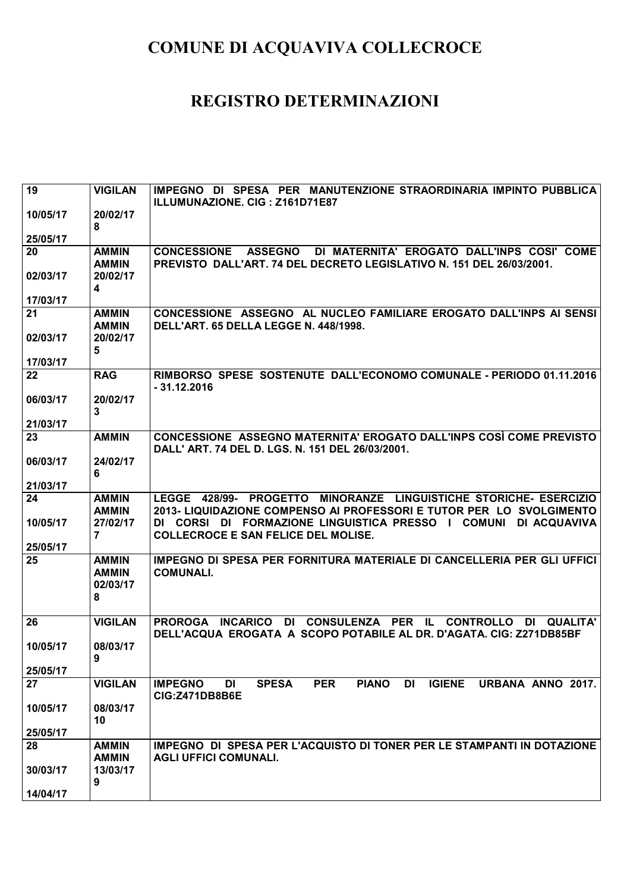| 19             | <b>VIGILAN</b>               | IMPEGNO DI SPESA PER MANUTENZIONE STRAORDINARIA IMPINTO PUBBLICA<br>ILLUMUNAZIONE. CIG: Z161D71E87                                                         |
|----------------|------------------------------|------------------------------------------------------------------------------------------------------------------------------------------------------------|
| 10/05/17       | 20/02/17<br>8                |                                                                                                                                                            |
| 25/05/17       |                              |                                                                                                                                                            |
| 20             | <b>AMMIN</b><br><b>AMMIN</b> | <b>CONCESSIONE</b><br><b>ASSEGNO</b><br>DI MATERNITA' EROGATO DALL'INPS COSI' COME<br>PREVISTO DALL'ART. 74 DEL DECRETO LEGISLATIVO N. 151 DEL 26/03/2001. |
| 02/03/17       | 20/02/17<br>4                |                                                                                                                                                            |
| 17/03/17       |                              |                                                                                                                                                            |
| 21             | <b>AMMIN</b>                 | CONCESSIONE ASSEGNO AL NUCLEO FAMILIARE EROGATO DALL'INPS AI SENSI                                                                                         |
|                | <b>AMMIN</b>                 | DELL'ART. 65 DELLA LEGGE N. 448/1998.                                                                                                                      |
| 02/03/17       | 20/02/17                     |                                                                                                                                                            |
|                | 5                            |                                                                                                                                                            |
| 17/03/17<br>22 | <b>RAG</b>                   | RIMBORSO SPESE SOSTENUTE DALL'ECONOMO COMUNALE - PERIODO 01.11.2016                                                                                        |
|                |                              | $-31.12.2016$                                                                                                                                              |
| 06/03/17       | 20/02/17<br>3                |                                                                                                                                                            |
| 21/03/17       |                              |                                                                                                                                                            |
| 23             | <b>AMMIN</b>                 | CONCESSIONE ASSEGNO MATERNITA' EROGATO DALL'INPS COSÌ COME PREVISTO<br>DALL' ART. 74 DEL D. LGS. N. 151 DEL 26/03/2001.                                    |
| 06/03/17       | 24/02/17                     |                                                                                                                                                            |
|                | 6                            |                                                                                                                                                            |
| 21/03/17       |                              |                                                                                                                                                            |
| 24             | <b>AMMIN</b>                 | LEGGE 428/99- PROGETTO MINORANZE LINGUISTICHE STORICHE- ESERCIZIO                                                                                          |
| 10/05/17       | <b>AMMIN</b><br>27/02/17     | 2013- LIQUIDAZIONE COMPENSO AI PROFESSORI E TUTOR PER LO SVOLGIMENTO<br>DI CORSI DI FORMAZIONE LINGUISTICA PRESSO I COMUNI<br>DI ACQUAVIVA                 |
|                | $\overline{7}$               | <b>COLLECROCE E SAN FELICE DEL MOLISE.</b>                                                                                                                 |
| 25/05/17       |                              |                                                                                                                                                            |
| 25             | <b>AMMIN</b>                 | IMPEGNO DI SPESA PER FORNITURA MATERIALE DI CANCELLERIA PER GLI UFFICI                                                                                     |
|                | <b>AMMIN</b>                 | <b>COMUNALI.</b>                                                                                                                                           |
|                | 02/03/17                     |                                                                                                                                                            |
|                | 8                            |                                                                                                                                                            |
| 26             | <b>VIGILAN</b>               | DI CONSULENZA PER IL<br>PROROGA INCARICO<br><b>CONTROLLO</b><br><b>QUALITA'</b><br>-DI.                                                                    |
|                |                              | DELL'ACQUA EROGATA A SCOPO POTABILE AL DR. D'AGATA. CIG: Z271DB85BF                                                                                        |
| 10/05/17       | 08/03/17<br>y                |                                                                                                                                                            |
| 25/05/17       |                              |                                                                                                                                                            |
| 27             | <b>VIGILAN</b>               | <b>SPESA</b><br><b>PER</b><br><b>PIANO</b><br><b>IGIENE</b><br>URBANA ANNO 2017.<br><b>IMPEGNO</b><br>DI<br>DI<br><b>CIG:Z471DB8B6E</b>                    |
| 10/05/17       | 08/03/17                     |                                                                                                                                                            |
|                | 10                           |                                                                                                                                                            |
| 25/05/17       |                              |                                                                                                                                                            |
| 28             | <b>AMMIN</b>                 | IMPEGNO DI SPESA PER L'ACQUISTO DI TONER PER LE STAMPANTI IN DOTAZIONE                                                                                     |
| 30/03/17       | <b>AMMIN</b><br>13/03/17     | <b>AGLI UFFICI COMUNALI.</b>                                                                                                                               |
|                | 9                            |                                                                                                                                                            |
| 14/04/17       |                              |                                                                                                                                                            |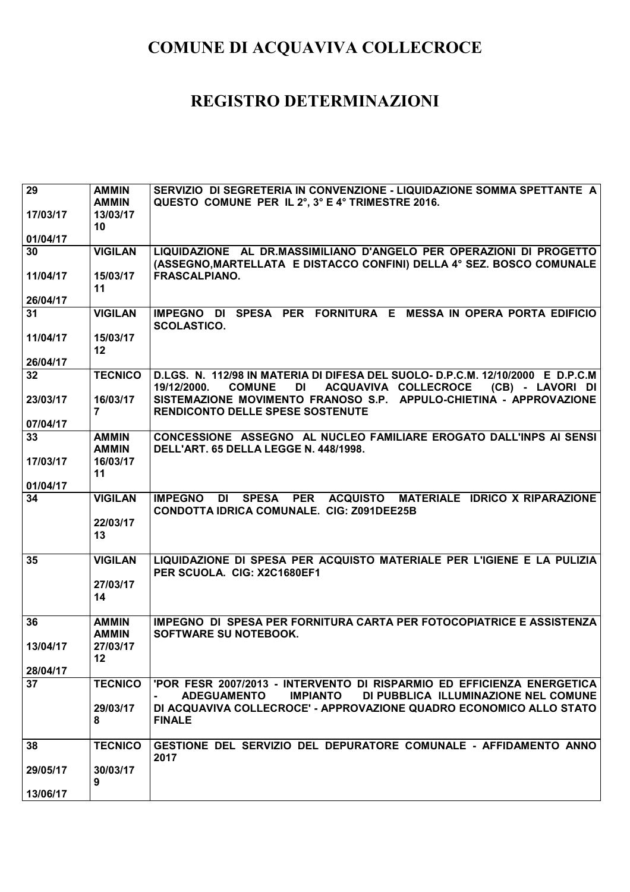| $\overline{29}$ | <b>AMMIN</b>               | SERVIZIO DI SEGRETERIA IN CONVENZIONE - LIQUIDAZIONE SOMMA SPETTANTE A                                                                                           |
|-----------------|----------------------------|------------------------------------------------------------------------------------------------------------------------------------------------------------------|
|                 | <b>AMMIN</b>               | QUESTO COMUNE PER IL 2°, 3° E 4° TRIMESTRE 2016.                                                                                                                 |
| 17/03/17        | 13/03/17                   |                                                                                                                                                                  |
|                 | 10                         |                                                                                                                                                                  |
| 01/04/17        |                            |                                                                                                                                                                  |
| 30              | <b>VIGILAN</b>             | LIQUIDAZIONE AL DR.MASSIMILIANO D'ANGELO PER OPERAZIONI DI PROGETTO                                                                                              |
|                 |                            | (ASSEGNO, MARTELLATA E DISTACCO CONFINI) DELLA 4° SEZ. BOSCO COMUNALE                                                                                            |
| 11/04/17        | 15/03/17                   | <b>FRASCALPIANO.</b>                                                                                                                                             |
|                 | 11                         |                                                                                                                                                                  |
| 26/04/17        |                            |                                                                                                                                                                  |
| 31              | <b>VIGILAN</b>             | IMPEGNO DI SPESA PER FORNITURA E MESSA IN OPERA PORTA EDIFICIO<br><b>SCOLASTICO.</b>                                                                             |
| 11/04/17        | 15/03/17                   |                                                                                                                                                                  |
|                 | 12                         |                                                                                                                                                                  |
| 26/04/17        |                            |                                                                                                                                                                  |
| $32\phantom{a}$ | <b>TECNICO</b>             | D.LGS. N. 112/98 IN MATERIA DI DIFESA DEL SUOLO- D.P.C.M. 12/10/2000 E D.P.C.M<br><b>COMUNE</b><br>DI<br>ACQUAVIVA COLLECROCE<br>(CB) - LAVORI DI<br>19/12/2000. |
| 23/03/17        | 16/03/17<br>$\overline{7}$ | SISTEMAZIONE MOVIMENTO FRANOSO S.P. APPULO-CHIETINA - APPROVAZIONE<br><b>RENDICONTO DELLE SPESE SOSTENUTE</b>                                                    |
| 07/04/17        |                            |                                                                                                                                                                  |
| 33              | <b>AMMIN</b>               | CONCESSIONE ASSEGNO AL NUCLEO FAMILIARE EROGATO DALL'INPS AI SENSI                                                                                               |
|                 | <b>AMMIN</b>               | DELL'ART. 65 DELLA LEGGE N. 448/1998.                                                                                                                            |
| 17/03/17        | 16/03/17                   |                                                                                                                                                                  |
|                 | 11                         |                                                                                                                                                                  |
| 01/04/17        |                            |                                                                                                                                                                  |
| 34              | <b>VIGILAN</b>             | <b>SPESA</b><br><b>PER</b><br>ACQUISTO MATERIALE IDRICO X RIPARAZIONE<br><b>IMPEGNO</b><br><b>DI</b><br><b>CONDOTTA IDRICA COMUNALE. CIG: Z091DEE25B</b>         |
|                 | 22/03/17                   |                                                                                                                                                                  |
|                 | 13                         |                                                                                                                                                                  |
|                 |                            |                                                                                                                                                                  |
| 35              | <b>VIGILAN</b>             | LIQUIDAZIONE DI SPESA PER ACQUISTO MATERIALE PER L'IGIENE E LA PULIZIA<br>PER SCUOLA. CIG: X2C1680EF1                                                            |
|                 | 27/03/17                   |                                                                                                                                                                  |
|                 | 14                         |                                                                                                                                                                  |
|                 |                            |                                                                                                                                                                  |
| 36              | <b>AMMIN</b>               | <b>IMPEGNO DI SPESA PER FORNITURA CARTA PER FOTOCOPIATRICE E ASSISTENZA</b>                                                                                      |
|                 | <b>AMMIN</b>               | SOFTWARE SU NOTEBOOK.                                                                                                                                            |
| 13/04/17        | 27/03/17                   |                                                                                                                                                                  |
|                 | 12 <sub>2</sub>            |                                                                                                                                                                  |
| 28/04/17        |                            |                                                                                                                                                                  |
| 37              | <b>TECNICO</b>             | 'POR FESR 2007/2013 - INTERVENTO DI RISPARMIO ED EFFICIENZA ENERGETICA<br>DI PUBBLICA ILLUMINAZIONE NEL COMUNE<br><b>ADEGUAMENTO</b><br><b>IMPIANTO</b>          |
|                 | 29/03/17<br>8              | DI ACQUAVIVA COLLECROCE' - APPROVAZIONE QUADRO ECONOMICO ALLO STATO<br><b>FINALE</b>                                                                             |
|                 |                            |                                                                                                                                                                  |
| 38              | <b>TECNICO</b>             | GESTIONE DEL SERVIZIO DEL DEPURATORE COMUNALE - AFFIDAMENTO ANNO<br>2017                                                                                         |
| 29/05/17        | 30/03/17                   |                                                                                                                                                                  |
|                 | 9                          |                                                                                                                                                                  |
| 13/06/17        |                            |                                                                                                                                                                  |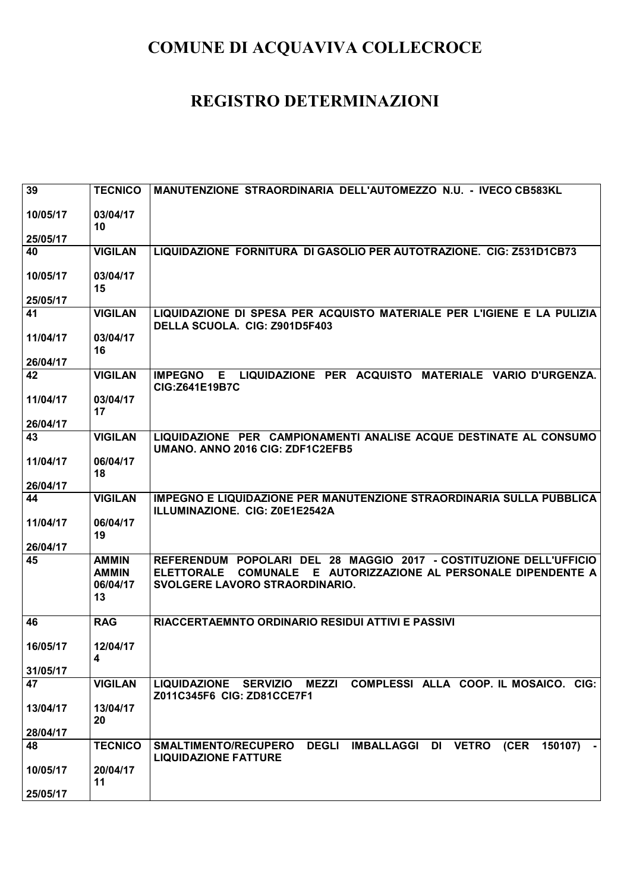| 39             | <b>TECNICO</b> | MANUTENZIONE STRAORDINARIA DELL'AUTOMEZZO N.U. - IVECO CB583KL                                                                           |
|----------------|----------------|------------------------------------------------------------------------------------------------------------------------------------------|
| 10/05/17       | 03/04/17       |                                                                                                                                          |
|                | 10             |                                                                                                                                          |
| 25/05/17       |                |                                                                                                                                          |
| 40             | <b>VIGILAN</b> | LIQUIDAZIONE FORNITURA DI GASOLIO PER AUTOTRAZIONE. CIG: Z531D1CB73                                                                      |
| 10/05/17       | 03/04/17       |                                                                                                                                          |
|                | 15             |                                                                                                                                          |
| 25/05/17<br>41 | <b>VIGILAN</b> | LIQUIDAZIONE DI SPESA PER ACQUISTO MATERIALE PER L'IGIENE E LA PULIZIA                                                                   |
|                |                | DELLA SCUOLA. CIG: Z901D5F403                                                                                                            |
| 11/04/17       | 03/04/17<br>16 |                                                                                                                                          |
| 26/04/17       |                |                                                                                                                                          |
| 42             | <b>VIGILAN</b> | LIQUIDAZIONE PER ACQUISTO MATERIALE VARIO D'URGENZA.<br><b>IMPEGNO</b><br>E.<br>CIG:Z641E19B7C                                           |
| 11/04/17       | 03/04/17       |                                                                                                                                          |
| 26/04/17       | 17             |                                                                                                                                          |
| 43             | <b>VIGILAN</b> | LIQUIDAZIONE PER CAMPIONAMENTI ANALISE ACQUE DESTINATE AL CONSUMO<br>UMANO. ANNO 2016 CIG: ZDF1C2EFB5                                    |
| 11/04/17       | 06/04/17       |                                                                                                                                          |
|                | 18             |                                                                                                                                          |
| 26/04/17       |                |                                                                                                                                          |
| 44             | <b>VIGILAN</b> | <b>IMPEGNO E LIQUIDAZIONE PER MANUTENZIONE STRAORDINARIA SULLA PUBBLICA</b><br>ILLUMINAZIONE. CIG: Z0E1E2542A                            |
| 11/04/17       | 06/04/17       |                                                                                                                                          |
| 26/04/17       | 19             |                                                                                                                                          |
| 45             | <b>AMMIN</b>   | POPOLARI DEL 28 MAGGIO 2017 - COSTITUZIONE DELL'UFFICIO<br><b>REFERENDUM</b>                                                             |
|                | <b>AMMIN</b>   | COMUNALE E AUTORIZZAZIONE AL PERSONALE DIPENDENTE A<br><b>ELETTORALE</b>                                                                 |
|                | 06/04/17       | SVOLGERE LAVORO STRAORDINARIO.                                                                                                           |
|                | 13             |                                                                                                                                          |
| 46             | <b>RAG</b>     | RIACCERTAEMNTO ORDINARIO RESIDUI ATTIVI E PASSIVI                                                                                        |
| 16/05/17       | 12/04/17       |                                                                                                                                          |
|                | 4              |                                                                                                                                          |
| 31/05/17       |                |                                                                                                                                          |
| 47             | <b>VIGILAN</b> | COMPLESSI ALLA COOP. IL MOSAICO. CIG:<br>LIQUIDAZIONE SERVIZIO MEZZI<br>Z011C345F6 CIG: ZD81CCE7F1                                       |
| 13/04/17       | 13/04/17<br>20 |                                                                                                                                          |
| 28/04/17       |                |                                                                                                                                          |
| 48             | <b>TECNICO</b> | <b>DEGLI</b><br><b>IMBALLAGGI</b><br><b>VETRO</b><br>(CER<br><b>SMALTIMENTO/RECUPERO</b><br>DI<br>150107)<br><b>LIQUIDAZIONE FATTURE</b> |
| 10/05/17       | 20/04/17       |                                                                                                                                          |
|                | 11             |                                                                                                                                          |
| 25/05/17       |                |                                                                                                                                          |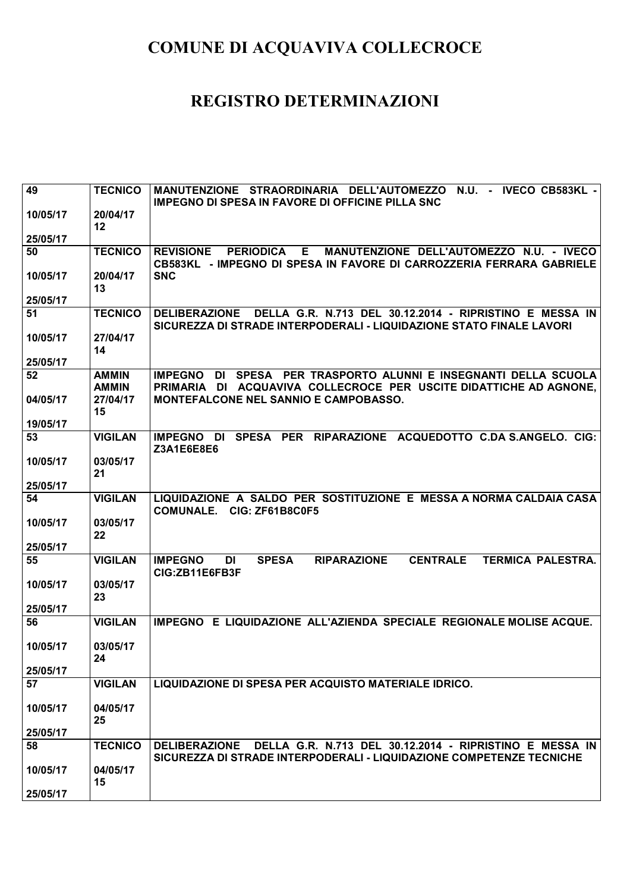| 49             | <b>TECNICO</b>               | MANUTENZIONE STRAORDINARIA DELL'AUTOMEZZO N.U. - IVECO CB583KL -                                                                               |
|----------------|------------------------------|------------------------------------------------------------------------------------------------------------------------------------------------|
| 10/05/17       | 20/04/17                     | <b>IMPEGNO DI SPESA IN FAVORE DI OFFICINE PILLA SNC</b>                                                                                        |
|                | 12                           |                                                                                                                                                |
| 25/05/17       |                              |                                                                                                                                                |
| 50             | <b>TECNICO</b>               | MANUTENZIONE DELL'AUTOMEZZO N.U. - IVECO<br><b>REVISIONE</b><br><b>PERIODICA</b><br>E.                                                         |
| 10/05/17       | 20/04/17                     | CB583KL - IMPEGNO DI SPESA IN FAVORE DI CARROZZERIA FERRARA GABRIELE<br><b>SNC</b>                                                             |
|                | 13                           |                                                                                                                                                |
| 25/05/17       |                              |                                                                                                                                                |
| 51             | <b>TECNICO</b>               | DELLA G.R. N.713 DEL 30.12.2014 - RIPRISTINO E MESSA IN<br><b>DELIBERAZIONE</b>                                                                |
| 10/05/17       | 27/04/17                     | SICUREZZA DI STRADE INTERPODERALI - LIQUIDAZIONE STATO FINALE LAVORI                                                                           |
|                | 14                           |                                                                                                                                                |
| 25/05/17       |                              |                                                                                                                                                |
| 52             | <b>AMMIN</b><br><b>AMMIN</b> | DI SPESA PER TRASPORTO ALUNNI E INSEGNANTI DELLA SCUOLA<br><b>IMPEGNO</b><br>PRIMARIA DI ACQUAVIVA COLLECROCE PER USCITE DIDATTICHE AD AGNONE, |
| 04/05/17       | 27/04/17                     | MONTEFALCONE NEL SANNIO E CAMPOBASSO.                                                                                                          |
| 19/05/17       | 15                           |                                                                                                                                                |
| 53             | <b>VIGILAN</b>               | SPESA PER RIPARAZIONE ACQUEDOTTO C.DA S.ANGELO. CIG:<br><b>IMPEGNO</b><br>DI                                                                   |
|                |                              | Z3A1E6E8E6                                                                                                                                     |
| 10/05/17       | 03/05/17                     |                                                                                                                                                |
| 25/05/17       | 21                           |                                                                                                                                                |
| 54             | <b>VIGILAN</b>               | LIQUIDAZIONE A SALDO PER SOSTITUZIONE E MESSA A NORMA CALDAIA CASA                                                                             |
|                |                              | COMUNALE. CIG: ZF61B8C0F5                                                                                                                      |
| 10/05/17       | 03/05/17                     |                                                                                                                                                |
| 25/05/17       | 22                           |                                                                                                                                                |
| 55             | <b>VIGILAN</b>               | <b>CENTRALE</b><br><b>IMPEGNO</b><br><b>DI</b><br><b>SPESA</b><br><b>RIPARAZIONE</b><br><b>TERMICA PALESTRA.</b>                               |
|                |                              | CIG:ZB11E6FB3F                                                                                                                                 |
| 10/05/17       | 03/05/17                     |                                                                                                                                                |
|                | 23                           |                                                                                                                                                |
| 25/05/17<br>56 | <b>VIGILAN</b>               | IMPEGNO E LIQUIDAZIONE ALL'AZIENDA SPECIALE REGIONALE MOLISE ACQUE.                                                                            |
|                |                              |                                                                                                                                                |
| 10/05/17       | 03/05/17                     |                                                                                                                                                |
|                | 24                           |                                                                                                                                                |
| 25/05/17<br>57 | <b>VIGILAN</b>               | LIQUIDAZIONE DI SPESA PER ACQUISTO MATERIALE IDRICO.                                                                                           |
|                |                              |                                                                                                                                                |
| 10/05/17       | 04/05/17                     |                                                                                                                                                |
|                | 25                           |                                                                                                                                                |
| 25/05/17       |                              |                                                                                                                                                |
| 58             | <b>TECNICO</b>               | DELIBERAZIONE DELLA G.R. N.713 DEL 30.12.2014 - RIPRISTINO E MESSA IN<br>SICUREZZA DI STRADE INTERPODERALI - LIQUIDAZIONE COMPETENZE TECNICHE  |
| 10/05/17       | 04/05/17                     |                                                                                                                                                |
|                | 15                           |                                                                                                                                                |
| 25/05/17       |                              |                                                                                                                                                |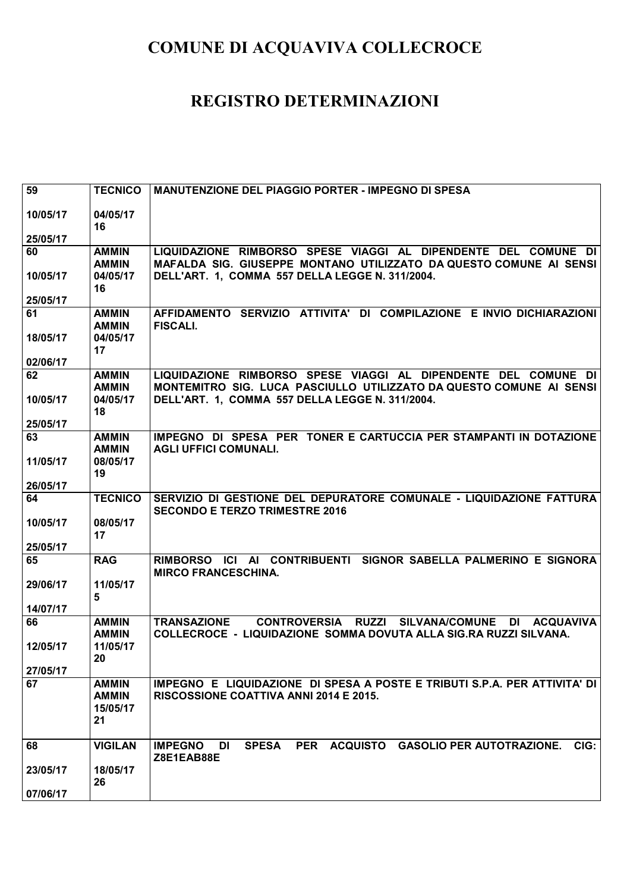| 59       | <b>TECNICO</b>               | <b>MANUTENZIONE DEL PIAGGIO PORTER - IMPEGNO DI SPESA</b>                                                                  |
|----------|------------------------------|----------------------------------------------------------------------------------------------------------------------------|
|          |                              |                                                                                                                            |
| 10/05/17 | 04/05/17<br>16               |                                                                                                                            |
| 25/05/17 |                              |                                                                                                                            |
| 60       | <b>AMMIN</b>                 | LIQUIDAZIONE RIMBORSO SPESE VIAGGI AL DIPENDENTE DEL COMUNE DI                                                             |
|          | <b>AMMIN</b>                 | MAFALDA SIG. GIUSEPPE MONTANO UTILIZZATO DA QUESTO COMUNE AI SENSI                                                         |
| 10/05/17 | 04/05/17                     | DELL'ART. 1, COMMA 557 DELLA LEGGE N. 311/2004.                                                                            |
|          | 16                           |                                                                                                                            |
| 25/05/17 |                              |                                                                                                                            |
| 61       | <b>AMMIN</b>                 | AFFIDAMENTO SERVIZIO ATTIVITA' DI COMPILAZIONE E INVIO DICHIARAZIONI<br><b>FISCALI.</b>                                    |
| 18/05/17 | <b>AMMIN</b><br>04/05/17     |                                                                                                                            |
|          | 17                           |                                                                                                                            |
| 02/06/17 |                              |                                                                                                                            |
| 62       | <b>AMMIN</b>                 | LIQUIDAZIONE RIMBORSO SPESE VIAGGI AL DIPENDENTE DEL COMUNE DI                                                             |
|          | <b>AMMIN</b>                 | MONTEMITRO SIG. LUCA PASCIULLO UTILIZZATO DA QUESTO COMUNE AI SENSI                                                        |
| 10/05/17 | 04/05/17                     | DELL'ART. 1, COMMA 557 DELLA LEGGE N. 311/2004.                                                                            |
| 25/05/17 | 18                           |                                                                                                                            |
| 63       | <b>AMMIN</b>                 | IMPEGNO DI SPESA PER TONER E CARTUCCIA PER STAMPANTI IN DOTAZIONE                                                          |
|          | <b>AMMIN</b>                 | <b>AGLI UFFICI COMUNALI.</b>                                                                                               |
| 11/05/17 | 08/05/17                     |                                                                                                                            |
|          | 19                           |                                                                                                                            |
| 26/05/17 |                              |                                                                                                                            |
| 64       | <b>TECNICO</b>               | SERVIZIO DI GESTIONE DEL DEPURATORE COMUNALE - LIQUIDAZIONE FATTURA                                                        |
| 10/05/17 | 08/05/17                     | <b>SECONDO E TERZO TRIMESTRE 2016</b>                                                                                      |
|          | 17                           |                                                                                                                            |
| 25/05/17 |                              |                                                                                                                            |
| 65       | <b>RAG</b>                   | RIMBORSO ICI AI CONTRIBUENTI SIGNOR SABELLA PALMERINO E SIGNORA                                                            |
|          |                              | <b>MIRCO FRANCESCHINA.</b>                                                                                                 |
| 29/06/17 | 11/05/17<br>5                |                                                                                                                            |
| 14/07/17 |                              |                                                                                                                            |
| 66       | <b>AMMIN</b>                 | CONTROVERSIA RUZZI SILVANA/COMUNE<br><b>TRANSAZIONE</b><br>DI ACQUAVIVA                                                    |
|          | <b>AMMIN</b>                 | <b>COLLECROCE - LIQUIDAZIONE SOMMA DOVUTA ALLA SIG.RA RUZZI SILVANA.</b>                                                   |
| 12/05/17 | 11/05/17                     |                                                                                                                            |
|          | 20 <sub>2</sub>              |                                                                                                                            |
| 27/05/17 |                              |                                                                                                                            |
| 67       | <b>AMMIN</b><br><b>AMMIN</b> | IMPEGNO E LIQUIDAZIONE DI SPESA A POSTE E TRIBUTI S.P.A. PER ATTIVITA' DI<br><b>RISCOSSIONE COATTIVA ANNI 2014 E 2015.</b> |
|          | 15/05/17                     |                                                                                                                            |
|          | 21                           |                                                                                                                            |
|          |                              |                                                                                                                            |
| 68       | <b>VIGILAN</b>               | <b>IMPEGNO</b><br><b>SPESA</b><br><b>PER</b><br><b>ACQUISTO</b><br>CIG:<br>DI<br><b>GASOLIO PER AUTOTRAZIONE.</b>          |
|          |                              | Z8E1EAB88E                                                                                                                 |
| 23/05/17 | 18/05/17<br>26               |                                                                                                                            |
| 07/06/17 |                              |                                                                                                                            |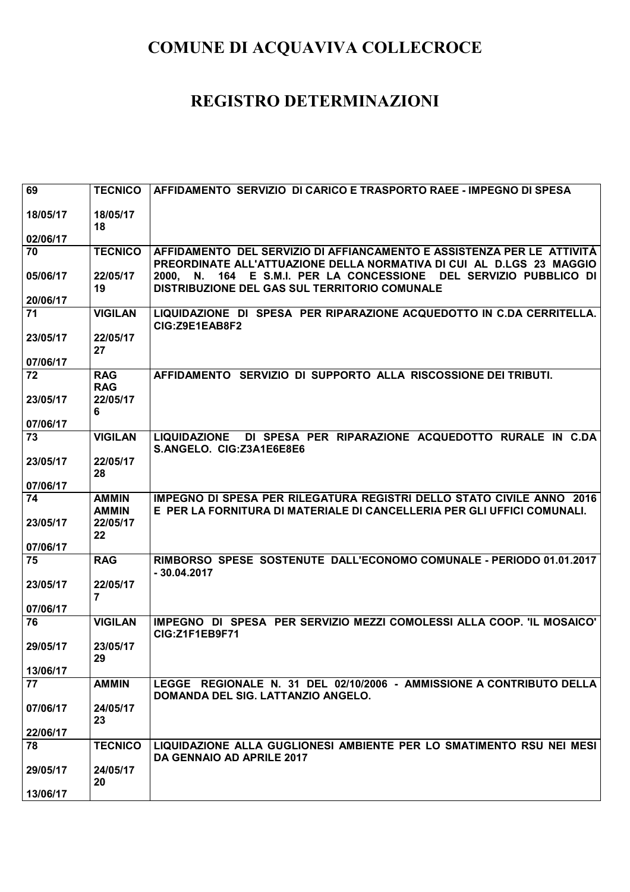| 69             | <b>TECNICO</b>               | AFFIDAMENTO SERVIZIO DI CARICO E TRASPORTO RAEE - IMPEGNO DI SPESA                                                                               |
|----------------|------------------------------|--------------------------------------------------------------------------------------------------------------------------------------------------|
| 18/05/17       | 18/05/17                     |                                                                                                                                                  |
|                | 18                           |                                                                                                                                                  |
| 02/06/17       |                              |                                                                                                                                                  |
| 70             | <b>TECNICO</b>               | AFFIDAMENTO DEL SERVIZIO DI AFFIANCAMENTO E ASSISTENZA PER LE ATTIVITÀ<br>PREORDINATE ALL'ATTUAZIONE DELLA NORMATIVA DI CUI AL D.LGS 23 MAGGIO   |
| 05/06/17       | 22/05/17                     | 2000, N. 164 E S.M.I. PER LA CONCESSIONE DEL SERVIZIO PUBBLICO DI                                                                                |
| 20/06/17       | 19                           | DISTRIBUZIONE DEL GAS SUL TERRITORIO COMUNALE                                                                                                    |
| 71             | <b>VIGILAN</b>               | LIQUIDAZIONE DI SPESA PER RIPARAZIONE ACQUEDOTTO IN C.DA CERRITELLA.                                                                             |
|                |                              | CIG:Z9E1EAB8F2                                                                                                                                   |
| 23/05/17       | 22/05/17                     |                                                                                                                                                  |
| 07/06/17       | 27                           |                                                                                                                                                  |
| 72             | <b>RAG</b>                   | AFFIDAMENTO SERVIZIO DI SUPPORTO ALLA RISCOSSIONE DEI TRIBUTI.                                                                                   |
|                | <b>RAG</b>                   |                                                                                                                                                  |
| 23/05/17       | 22/05/17                     |                                                                                                                                                  |
|                | 6                            |                                                                                                                                                  |
| 07/06/17<br>73 | <b>VIGILAN</b>               | DI SPESA PER RIPARAZIONE ACQUEDOTTO RURALE IN C.DA<br><b>LIQUIDAZIONE</b>                                                                        |
|                |                              | S.ANGELO. CIG:Z3A1E6E8E6                                                                                                                         |
| 23/05/17       | 22/05/17                     |                                                                                                                                                  |
|                | 28                           |                                                                                                                                                  |
| 07/06/17       |                              |                                                                                                                                                  |
| 74             | <b>AMMIN</b><br><b>AMMIN</b> | IMPEGNO DI SPESA PER RILEGATURA REGISTRI DELLO STATO CIVILE ANNO 2016<br>E PER LA FORNITURA DI MATERIALE DI CANCELLERIA PER GLI UFFICI COMUNALI. |
| 23/05/17       | 22/05/17                     |                                                                                                                                                  |
|                | 22                           |                                                                                                                                                  |
| 07/06/17       |                              |                                                                                                                                                  |
| 75             | <b>RAG</b>                   | RIMBORSO SPESE SOSTENUTE DALL'ECONOMO COMUNALE - PERIODO 01.01.2017<br>$-30.04.2017$                                                             |
| 23/05/17       | 22/05/17                     |                                                                                                                                                  |
| 07/06/17       | $\overline{7}$               |                                                                                                                                                  |
| 76             | <b>VIGILAN</b>               | IMPEGNO DI SPESA PER SERVIZIO MEZZI COMOLESSI ALLA COOP. 'IL MOSAICO'                                                                            |
|                |                              | <b>CIG:Z1F1EB9F71</b>                                                                                                                            |
| 29/05/17       | 23/05/17                     |                                                                                                                                                  |
| 13/06/17       | 29                           |                                                                                                                                                  |
| 77             | <b>AMMIN</b>                 | LEGGE REGIONALE N. 31 DEL 02/10/2006 - AMMISSIONE A CONTRIBUTO DELLA                                                                             |
|                |                              | DOMANDA DEL SIG. LATTANZIO ANGELO.                                                                                                               |
| 07/06/17       | 24/05/17                     |                                                                                                                                                  |
|                | 23                           |                                                                                                                                                  |
| 22/06/17<br>78 | <b>TECNICO</b>               | LIQUIDAZIONE ALLA GUGLIONESI AMBIENTE PER LO SMATIMENTO RSU NEI MESI                                                                             |
|                |                              | DA GENNAIO AD APRILE 2017                                                                                                                        |
| 29/05/17       | 24/05/17                     |                                                                                                                                                  |
|                | 20                           |                                                                                                                                                  |
| 13/06/17       |                              |                                                                                                                                                  |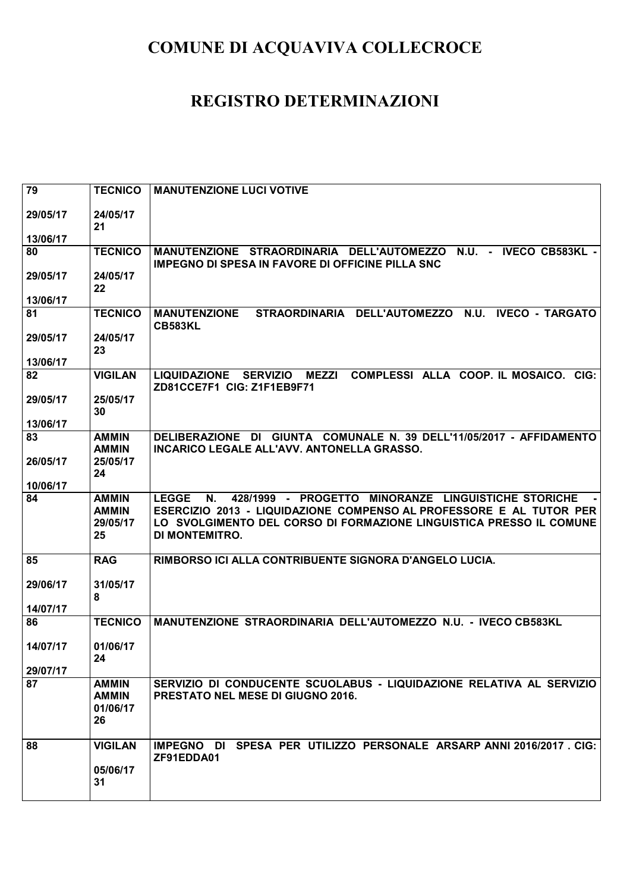| 79       | <b>TECNICO</b>                                 | <b>MANUTENZIONE LUCI VOTIVE</b>                                                                                                                  |
|----------|------------------------------------------------|--------------------------------------------------------------------------------------------------------------------------------------------------|
| 29/05/17 | 24/05/17<br>21                                 |                                                                                                                                                  |
| 13/06/17 |                                                |                                                                                                                                                  |
| 80       | <b>TECNICO</b>                                 | N.U. - IVECO CB583KL -<br>MANUTENZIONE STRAORDINARIA DELL'AUTOMEZZO<br><b>IMPEGNO DI SPESA IN FAVORE DI OFFICINE PILLA SNC</b>                   |
| 29/05/17 | 24/05/17<br>22                                 |                                                                                                                                                  |
| 13/06/17 |                                                |                                                                                                                                                  |
| 81       | <b>TECNICO</b>                                 | <b>IVECO - TARGATO</b><br><b>MANUTENZIONE</b><br>STRAORDINARIA DELL'AUTOMEZZO<br><b>N.U.</b><br><b>CB583KL</b>                                   |
| 29/05/17 | 24/05/17<br>23                                 |                                                                                                                                                  |
| 13/06/17 |                                                |                                                                                                                                                  |
| 82       | <b>VIGILAN</b>                                 | COMPLESSI ALLA COOP. IL MOSAICO. CIG:<br><b>MEZZI</b><br><b>LIQUIDAZIONE</b><br><b>SERVIZIO</b><br>ZD81CCE7F1 CIG: Z1F1EB9F71                    |
| 29/05/17 | 25/05/17<br>30                                 |                                                                                                                                                  |
| 13/06/17 |                                                |                                                                                                                                                  |
| 83       | <b>AMMIN</b><br><b>AMMIN</b>                   | DELIBERAZIONE DI GIUNTA COMUNALE N. 39 DELL'11/05/2017 - AFFIDAMENTO<br>INCARICO LEGALE ALL'AVV. ANTONELLA GRASSO.                               |
| 26/05/17 | 25/05/17<br>24                                 |                                                                                                                                                  |
| 10/06/17 |                                                |                                                                                                                                                  |
| 84       | <b>AMMIN</b><br><b>AMMIN</b>                   | 428/1999 - PROGETTO MINORANZE LINGUISTICHE STORICHE<br><b>LEGGE</b><br>N.<br>ESERCIZIO 2013 - LIQUIDAZIONE COMPENSO AL PROFESSORE E AL TUTOR PER |
|          | 29/05/17<br>25                                 | LO SVOLGIMENTO DEL CORSO DI FORMAZIONE LINGUISTICA PRESSO IL COMUNE<br><b>DI MONTEMITRO.</b>                                                     |
|          |                                                |                                                                                                                                                  |
| 85       | <b>RAG</b>                                     | RIMBORSO ICI ALLA CONTRIBUENTE SIGNORA D'ANGELO LUCIA.                                                                                           |
| 29/06/17 | 31/05/17<br>8                                  |                                                                                                                                                  |
| 14/07/17 |                                                |                                                                                                                                                  |
| 86       | <b>TECNICO</b>                                 | MANUTENZIONE STRAORDINARIA DELL'AUTOMEZZO N.U. - IVECO CB583KL                                                                                   |
| 14/07/17 | 01/06/17                                       |                                                                                                                                                  |
| 29/07/17 | 24                                             |                                                                                                                                                  |
| 87       | <b>AMMIN</b><br><b>AMMIN</b><br>01/06/17<br>26 | SERVIZIO DI CONDUCENTE SCUOLABUS - LIQUIDAZIONE RELATIVA AL SERVIZIO<br>PRESTATO NEL MESE DI GIUGNO 2016.                                        |
| 88       | <b>VIGILAN</b><br>05/06/17<br>31               | IMPEGNO DI SPESA PER UTILIZZO PERSONALE ARSARP ANNI 2016/2017 . CIG:<br>ZF91EDDA01                                                               |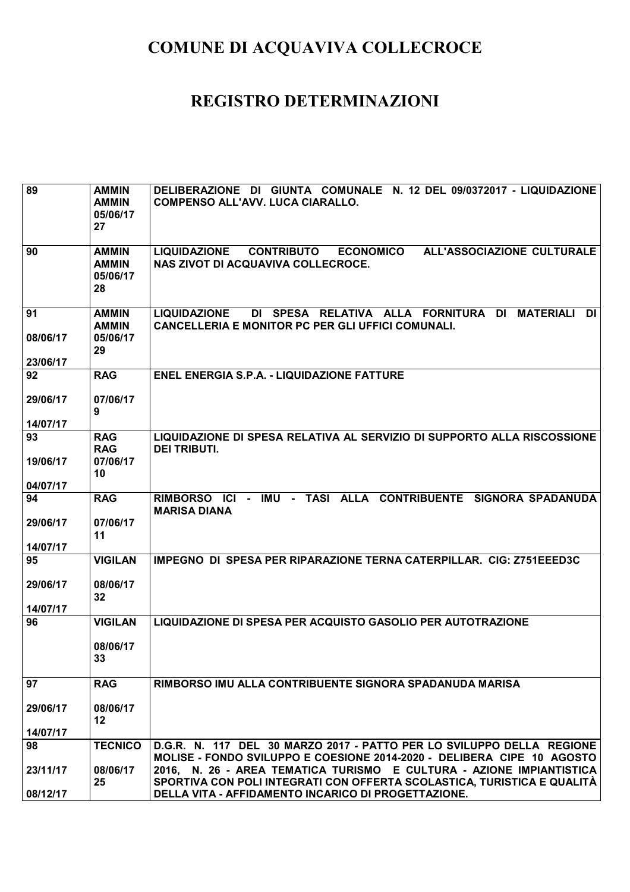| 89                   | <b>AMMIN</b><br><b>AMMIN</b><br>05/06/17<br>27 | DELIBERAZIONE DI GIUNTA COMUNALE N. 12 DEL 09/0372017 - LIQUIDAZIONE<br><b>COMPENSO ALL'AVV. LUCA CIARALLO.</b>                                            |
|----------------------|------------------------------------------------|------------------------------------------------------------------------------------------------------------------------------------------------------------|
| 90                   | <b>AMMIN</b><br><b>AMMIN</b><br>05/06/17<br>28 | ALL'ASSOCIAZIONE CULTURALE<br><b>LIQUIDAZIONE</b><br><b>CONTRIBUTO</b><br><b>ECONOMICO</b><br>NAS ZIVOT DI ACQUAVIVA COLLECROCE.                           |
| 91<br>08/06/17       | <b>AMMIN</b><br><b>AMMIN</b><br>05/06/17       | DI SPESA RELATIVA ALLA FORNITURA<br>DI<br><b>MATERIALI</b><br><b>DI</b><br><b>LIQUIDAZIONE</b><br><b>CANCELLERIA E MONITOR PC PER GLI UFFICI COMUNALI.</b> |
| 23/06/17             | 29                                             |                                                                                                                                                            |
| 92                   | <b>RAG</b>                                     | <b>ENEL ENERGIA S.P.A. - LIQUIDAZIONE FATTURE</b>                                                                                                          |
| 29/06/17             | 07/06/17<br>9                                  |                                                                                                                                                            |
| 14/07/17             |                                                |                                                                                                                                                            |
| 93                   | <b>RAG</b><br><b>RAG</b>                       | LIQUIDAZIONE DI SPESA RELATIVA AL SERVIZIO DI SUPPORTO ALLA RISCOSSIONE<br><b>DEI TRIBUTI.</b>                                                             |
| 19/06/17             | 07/06/17                                       |                                                                                                                                                            |
| 04/07/17             | 10                                             |                                                                                                                                                            |
| 94                   | <b>RAG</b>                                     | IMU - TASI ALLA CONTRIBUENTE SIGNORA SPADANUDA<br>RIMBORSO ICI<br>$\sim$<br><b>MARISA DIANA</b>                                                            |
| 29/06/17             | 07/06/17<br>11                                 |                                                                                                                                                            |
| 14/07/17<br>95       | <b>VIGILAN</b>                                 | IMPEGNO DI SPESA PER RIPARAZIONE TERNA CATERPILLAR. CIG: Z751EEED3C                                                                                        |
|                      |                                                |                                                                                                                                                            |
| 29/06/17<br>14/07/17 | 08/06/17<br>32                                 |                                                                                                                                                            |
| 96                   | <b>VIGILAN</b>                                 | LIQUIDAZIONE DI SPESA PER ACQUISTO GASOLIO PER AUTOTRAZIONE                                                                                                |
|                      | 08/06/17<br>33                                 |                                                                                                                                                            |
| 97                   | <b>RAG</b>                                     | RIMBORSO IMU ALLA CONTRIBUENTE SIGNORA SPADANUDA MARISA                                                                                                    |
| 29/06/17             | 08/06/17<br>12                                 |                                                                                                                                                            |
| 14/07/17             |                                                |                                                                                                                                                            |
| 98                   | <b>TECNICO</b>                                 | D.G.R. N. 117 DEL 30 MARZO 2017 - PATTO PER LO SVILUPPO DELLA REGIONE<br>MOLISE - FONDO SVILUPPO E COESIONE 2014-2020 - DELIBERA CIPE 10 AGOSTO            |
| 23/11/17             | 08/06/17                                       | 2016, N. 26 - AREA TEMATICA TURISMO E CULTURA - AZIONE IMPIANTISTICA                                                                                       |
| 08/12/17             | 25                                             | SPORTIVA CON POLI INTEGRATI CON OFFERTA SCOLASTICA, TURISTICA E QUALITÀ<br>DELLA VITA - AFFIDAMENTO INCARICO DI PROGETTAZIONE.                             |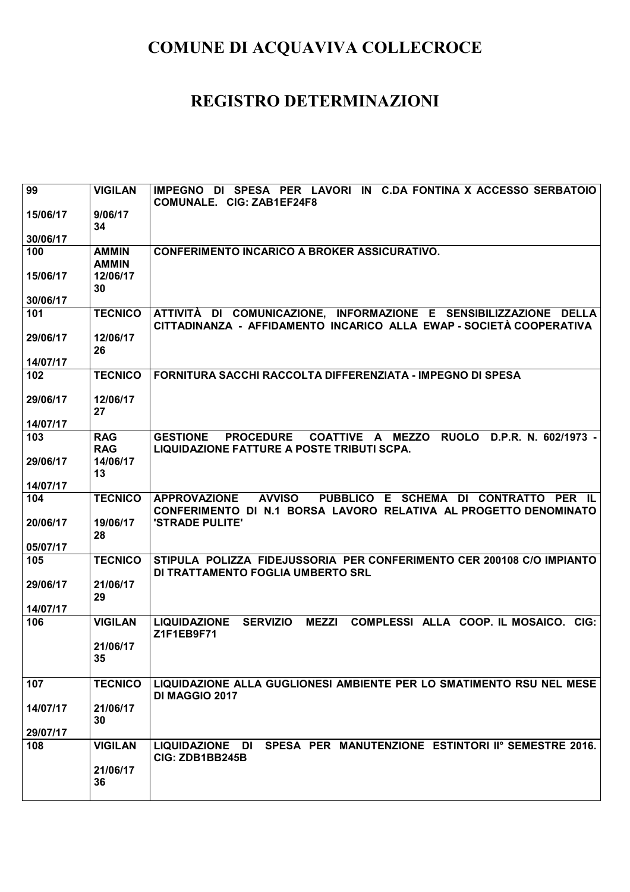| 99       | <b>VIGILAN</b>               | DI SPESA PER LAVORI IN C.DA FONTINA X ACCESSO SERBATOIO<br><b>IMPEGNO</b><br>COMUNALE. CIG: ZAB1EF24F8                                            |
|----------|------------------------------|---------------------------------------------------------------------------------------------------------------------------------------------------|
| 15/06/17 | 9/06/17<br>34                |                                                                                                                                                   |
| 30/06/17 |                              |                                                                                                                                                   |
| 100      | <b>AMMIN</b><br><b>AMMIN</b> | <b>CONFERIMENTO INCARICO A BROKER ASSICURATIVO.</b>                                                                                               |
| 15/06/17 | 12/06/17<br>30               |                                                                                                                                                   |
| 30/06/17 |                              |                                                                                                                                                   |
| 101      | <b>TECNICO</b>               | ATTIVITÀ DI COMUNICAZIONE, INFORMAZIONE E SENSIBILIZZAZIONE DELLA<br>CITTADINANZA - AFFIDAMENTO INCARICO ALLA EWAP - SOCIETÀ COOPERATIVA          |
| 29/06/17 | 12/06/17<br>26               |                                                                                                                                                   |
| 14/07/17 |                              |                                                                                                                                                   |
| 102      | <b>TECNICO</b>               | FORNITURA SACCHI RACCOLTA DIFFERENZIATA - IMPEGNO DI SPESA                                                                                        |
| 29/06/17 | 12/06/17<br>27               |                                                                                                                                                   |
| 14/07/17 |                              |                                                                                                                                                   |
| 103      | <b>RAG</b><br><b>RAG</b>     | <b>RUOLO</b><br><b>GESTIONE</b><br><b>PROCEDURE</b><br>COATTIVE A MEZZO<br>D.P.R. N. 602/1973 -<br>LIQUIDAZIONE FATTURE A POSTE TRIBUTI SCPA.     |
| 29/06/17 | 14/06/17<br>13               |                                                                                                                                                   |
| 14/07/17 |                              |                                                                                                                                                   |
| 104      | <b>TECNICO</b>               | <b>AVVISO</b><br>PUBBLICO E SCHEMA DI CONTRATTO PER IL<br><b>APPROVAZIONE</b><br>CONFERIMENTO DI N.1 BORSA LAVORO RELATIVA AL PROGETTO DENOMINATO |
| 20/06/17 | 19/06/17<br>28               | 'STRADE PULITE'                                                                                                                                   |
| 05/07/17 |                              |                                                                                                                                                   |
| 105      | <b>TECNICO</b>               | STIPULA POLIZZA FIDEJUSSORIA PER CONFERIMENTO CER 200108 C/O IMPIANTO<br>DI TRATTAMENTO FOGLIA UMBERTO SRL                                        |
| 29/06/17 | 21/06/17<br>29               |                                                                                                                                                   |
| 14/07/17 |                              |                                                                                                                                                   |
| 106      | <b>VIGILAN</b>               | <b>LIQUIDAZIONE</b><br><b>SERVIZIO</b><br><b>MEZZI</b><br>COMPLESSI ALLA COOP. IL MOSAICO.<br>CIG:<br>Z1F1EB9F71                                  |
|          | 21/06/17<br>35               |                                                                                                                                                   |
| 107      | <b>TECNICO</b>               | LIQUIDAZIONE ALLA GUGLIONESI AMBIENTE PER LO SMATIMENTO RSU NEL MESE<br>DI MAGGIO 2017                                                            |
| 14/07/17 | 21/06/17<br>30               |                                                                                                                                                   |
| 29/07/17 |                              |                                                                                                                                                   |
| 108      | <b>VIGILAN</b>               | SPESA PER MANUTENZIONE ESTINTORI IIº SEMESTRE 2016.<br>LIQUIDAZIONE DI<br>CIG: ZDB1BB245B                                                         |
|          | 21/06/17<br>36               |                                                                                                                                                   |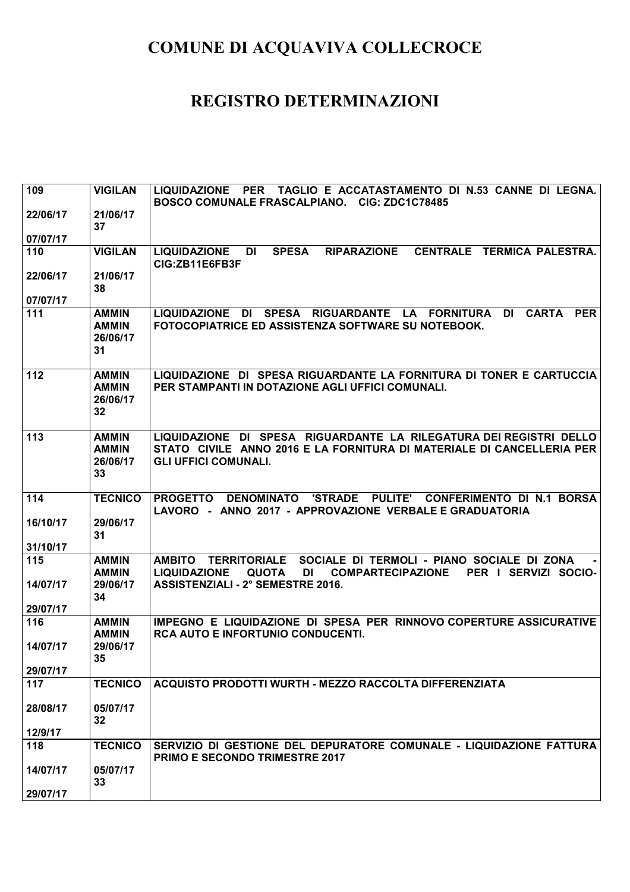| 109      | <b>VIGILAN</b>                                 | LIQUIDAZIONE PER TAGLIO E ACCATASTAMENTO DI N.53 CANNE DI LEGNA.<br>BOSCO COMUNALE FRASCALPIANO. CIG: ZDC1C78485                                                           |
|----------|------------------------------------------------|----------------------------------------------------------------------------------------------------------------------------------------------------------------------------|
| 22/06/17 | 21/06/17<br>37                                 |                                                                                                                                                                            |
| 07/07/17 |                                                |                                                                                                                                                                            |
| 110      | <b>VIGILAN</b>                                 | DI<br><b>SPESA</b><br><b>RIPARAZIONE</b><br>CENTRALE TERMICA PALESTRA.<br><b>LIQUIDAZIONE</b><br>CIG:ZB11E6FB3F                                                            |
| 22/06/17 | 21/06/17<br>38                                 |                                                                                                                                                                            |
| 07/07/17 |                                                |                                                                                                                                                                            |
| 111      | <b>AMMIN</b><br><b>AMMIN</b><br>26/06/17<br>31 | <b>CARTA</b><br><b>LIQUIDAZIONE</b><br>DI<br><b>SPESA</b><br>RIGUARDANTE LA FORNITURA<br><b>DI</b><br><b>PER</b><br>FOTOCOPIATRICE ED ASSISTENZA SOFTWARE SU NOTEBOOK.     |
| 112      | <b>AMMIN</b><br><b>AMMIN</b><br>26/06/17<br>32 | LIQUIDAZIONE DI SPESA RIGUARDANTE LA FORNITURA DI TONER E CARTUCCIA<br>PER STAMPANTI IN DOTAZIONE AGLI UFFICI COMUNALI.                                                    |
| 113      | <b>AMMIN</b><br><b>AMMIN</b><br>26/06/17<br>33 | LIQUIDAZIONE DI SPESA RIGUARDANTE LA RILEGATURA DEI REGISTRI DELLO<br>STATO CIVILE ANNO 2016 E LA FORNITURA DI MATERIALE DI CANCELLERIA PER<br><b>GLI UFFICI COMUNALI.</b> |
| 114      | <b>TECNICO</b>                                 | <b>'STRADE</b><br><b>PULITE'</b><br><b>PROGETTO</b><br><b>DENOMINATO</b><br><b>CONFERIMENTO DI N.1 BORSA</b><br>LAVORO - ANNO 2017 - APPROVAZIONE VERBALE E GRADUATORIA    |
| 16/10/17 | 29/06/17<br>31                                 |                                                                                                                                                                            |
| 31/10/17 |                                                |                                                                                                                                                                            |
| 115      | <b>AMMIN</b><br><b>AMMIN</b>                   | SOCIALE DI TERMOLI - PIANO SOCIALE DI ZONA<br>AMBITO TERRITORIALE<br><b>QUOTA</b><br><b>COMPARTECIPAZIONE</b><br>DI                                                        |
| 14/07/17 | 29/06/17<br>34                                 | <b>LIQUIDAZIONE</b><br>PER I SERVIZI SOCIO-<br><b>ASSISTENZIALI - 2° SEMESTRE 2016.</b>                                                                                    |
| 29/07/17 |                                                |                                                                                                                                                                            |
| 116      | <b>AMMIN</b><br><b>AMMIN</b>                   | IMPEGNO E LIQUIDAZIONE DI SPESA PER RINNOVO COPERTURE ASSICURATIVE<br><b>RCA AUTO E INFORTUNIO CONDUCENTI.</b>                                                             |
| 14/07/17 | 29/06/17<br>35 <sub>5</sub>                    |                                                                                                                                                                            |
| 29/07/17 |                                                |                                                                                                                                                                            |
| 117      | <b>TECNICO</b>                                 | ACQUISTO PRODOTTI WURTH - MEZZO RACCOLTA DIFFERENZIATA                                                                                                                     |
| 28/08/17 | 05/07/17<br>32                                 |                                                                                                                                                                            |
| 12/9/17  |                                                |                                                                                                                                                                            |
| 118      | <b>TECNICO</b>                                 | SERVIZIO DI GESTIONE DEL DEPURATORE COMUNALE - LIQUIDAZIONE FATTURA<br><b>PRIMO E SECONDO TRIMESTRE 2017</b>                                                               |
| 14/07/17 | 05/07/17<br>33                                 |                                                                                                                                                                            |
|          |                                                |                                                                                                                                                                            |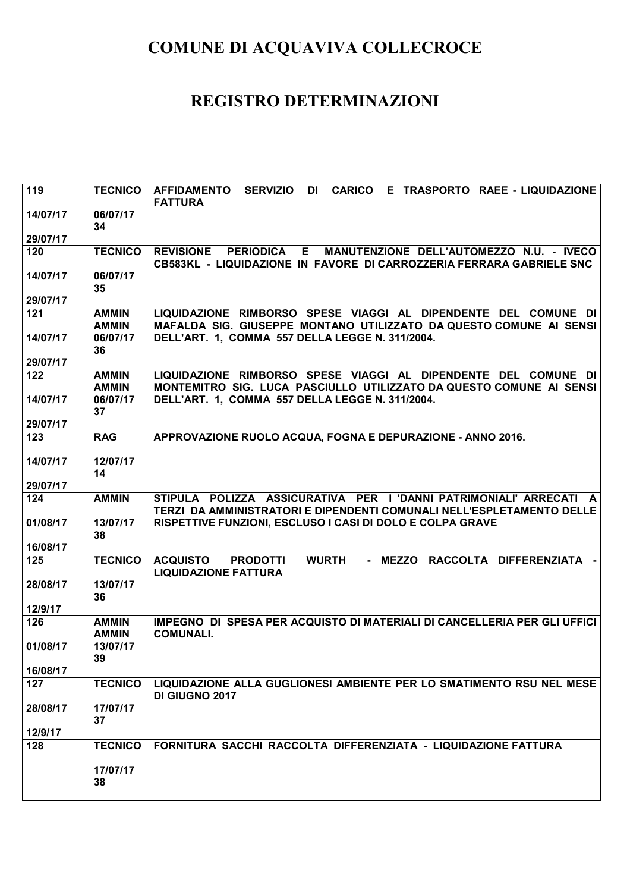| 119             | <b>TECNICO</b>                           | SERVIZIO DI CARICO E TRASPORTO RAEE - LIQUIDAZIONE<br><b>AFFIDAMENTO</b><br><b>FATTURA</b>                                                                                              |
|-----------------|------------------------------------------|-----------------------------------------------------------------------------------------------------------------------------------------------------------------------------------------|
| 14/07/17        | 06/07/17<br>34                           |                                                                                                                                                                                         |
| 29/07/17        |                                          |                                                                                                                                                                                         |
| 120             | <b>TECNICO</b>                           | <b>PERIODICA E</b><br><b>REVISIONE</b><br>MANUTENZIONE DELL'AUTOMEZZO N.U. - IVECO<br>CB583KL - LIQUIDAZIONE IN FAVORE DI CARROZZERIA FERRARA GABRIELE SNC                              |
| 14/07/17        | 06/07/17<br>35                           |                                                                                                                                                                                         |
| 29/07/17        |                                          |                                                                                                                                                                                         |
| 121<br>14/07/17 | <b>AMMIN</b><br><b>AMMIN</b><br>06/07/17 | LIQUIDAZIONE RIMBORSO SPESE VIAGGI AL DIPENDENTE DEL COMUNE DI<br>MAFALDA SIG. GIUSEPPE MONTANO UTILIZZATO DA QUESTO COMUNE AI SENSI<br>DELL'ART. 1, COMMA 557 DELLA LEGGE N. 311/2004. |
| 29/07/17        | 36                                       |                                                                                                                                                                                         |
| 122             | <b>AMMIN</b><br><b>AMMIN</b>             | LIQUIDAZIONE RIMBORSO SPESE VIAGGI AL DIPENDENTE DEL COMUNE DI<br>MONTEMITRO SIG. LUCA PASCIULLO UTILIZZATO DA QUESTO COMUNE AI SENSI                                                   |
| 14/07/17        | 06/07/17<br>37                           | DELL'ART. 1, COMMA 557 DELLA LEGGE N. 311/2004.                                                                                                                                         |
| 29/07/17        |                                          |                                                                                                                                                                                         |
| 123             | <b>RAG</b>                               | APPROVAZIONE RUOLO ACQUA, FOGNA E DEPURAZIONE - ANNO 2016.                                                                                                                              |
| 14/07/17        | 12/07/17<br>14                           |                                                                                                                                                                                         |
| 29/07/17        |                                          |                                                                                                                                                                                         |
| 124             | <b>AMMIN</b>                             | STIPULA POLIZZA ASSICURATIVA PER I DANNI PATRIMONIALI' ARRECATI A<br>TERZI DA AMMINISTRATORI E DIPENDENTI COMUNALI NELL'ESPLETAMENTO DELLE                                              |
| 01/08/17        | 13/07/17<br>38                           | RISPETTIVE FUNZIONI, ESCLUSO I CASI DI DOLO E COLPA GRAVE                                                                                                                               |
| 16/08/17        |                                          |                                                                                                                                                                                         |
| 125             | <b>TECNICO</b>                           | <b>WURTH</b><br>- MEZZO RACCOLTA DIFFERENZIATA -<br><b>ACQUISTO</b><br><b>PRODOTTI</b><br><b>LIQUIDAZIONE FATTURA</b>                                                                   |
| 28/08/17        | 13/07/17<br>36                           |                                                                                                                                                                                         |
| 12/9/17         |                                          |                                                                                                                                                                                         |
| 126             | <b>AMMIN</b><br><b>AMMIN</b>             | IMPEGNO DI SPESA PER ACQUISTO DI MATERIALI DI CANCELLERIA PER GLI UFFICI<br><b>COMUNALI.</b>                                                                                            |
| 01/08/17        | 13/07/17<br>39                           |                                                                                                                                                                                         |
| 16/08/17        |                                          |                                                                                                                                                                                         |
| 127             | <b>TECNICO</b>                           | LIQUIDAZIONE ALLA GUGLIONESI AMBIENTE PER LO SMATIMENTO RSU NEL MESE<br>DI GIUGNO 2017                                                                                                  |
| 28/08/17        | 17/07/17<br>37                           |                                                                                                                                                                                         |
| 12/9/17         |                                          |                                                                                                                                                                                         |
| 128             | <b>TECNICO</b>                           | FORNITURA SACCHI RACCOLTA DIFFERENZIATA - LIQUIDAZIONE FATTURA                                                                                                                          |
|                 | 17/07/17<br>38                           |                                                                                                                                                                                         |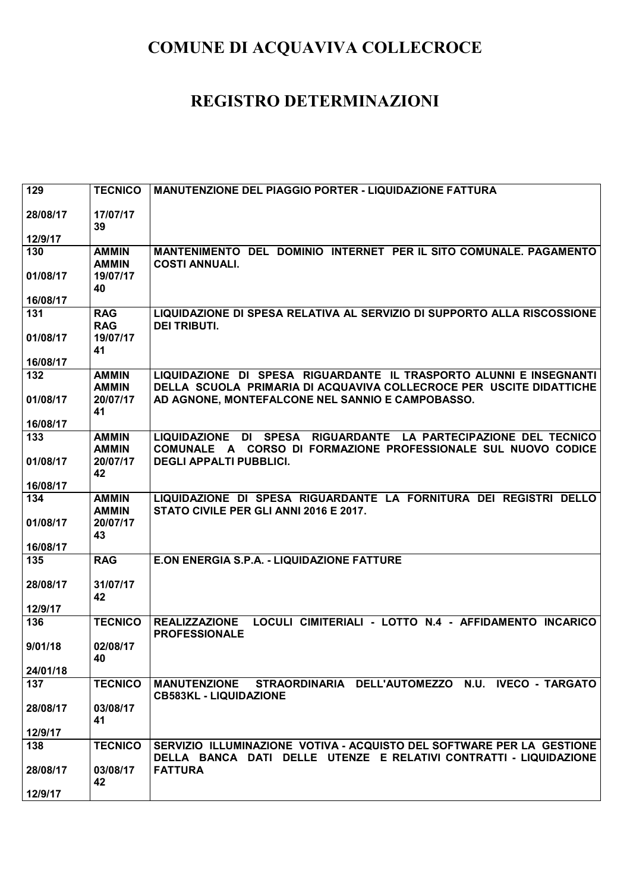| 129             | <b>TECNICO</b>                       | MANUTENZIONE DEL PIAGGIO PORTER - LIQUIDAZIONE FATTURA                                                                                     |
|-----------------|--------------------------------------|--------------------------------------------------------------------------------------------------------------------------------------------|
| 28/08/17        | 17/07/17<br>39                       |                                                                                                                                            |
| 12/9/17         |                                      |                                                                                                                                            |
| 130             | <b>AMMIN</b><br><b>AMMIN</b>         | MANTENIMENTO DEL DOMINIO INTERNET PER IL SITO COMUNALE. PAGAMENTO<br><b>COSTI ANNUALI.</b>                                                 |
| 01/08/17        | 19/07/17<br>40                       |                                                                                                                                            |
| 16/08/17        |                                      |                                                                                                                                            |
| 131<br>01/08/17 | <b>RAG</b><br><b>RAG</b><br>19/07/17 | LIQUIDAZIONE DI SPESA RELATIVA AL SERVIZIO DI SUPPORTO ALLA RISCOSSIONE<br><b>DEI TRIBUTI.</b>                                             |
| 16/08/17        | 41                                   |                                                                                                                                            |
| 132             | <b>AMMIN</b><br><b>AMMIN</b>         | LIQUIDAZIONE DI SPESA RIGUARDANTE IL TRASPORTO ALUNNI E INSEGNANTI<br>DELLA SCUOLA PRIMARIA DI ACQUAVIVA COLLECROCE PER USCITE DIDATTICHE  |
| 01/08/17        | 20/07/17<br>41                       | AD AGNONE, MONTEFALCONE NEL SANNIO E CAMPOBASSO.                                                                                           |
| 16/08/17        |                                      |                                                                                                                                            |
| 133             | <b>AMMIN</b><br><b>AMMIN</b>         | LIQUIDAZIONE DI SPESA RIGUARDANTE LA PARTECIPAZIONE DEL TECNICO<br>COMUNALE A CORSO DI FORMAZIONE PROFESSIONALE SUL NUOVO CODICE           |
| 01/08/17        | 20/07/17<br>42                       | <b>DEGLI APPALTI PUBBLICI.</b>                                                                                                             |
| 16/08/17        |                                      |                                                                                                                                            |
| 134             | <b>AMMIN</b><br><b>AMMIN</b>         | LIQUIDAZIONE DI SPESA RIGUARDANTE LA FORNITURA DEI REGISTRI DELLO<br>STATO CIVILE PER GLI ANNI 2016 E 2017.                                |
| 01/08/17        | 20/07/17<br>43                       |                                                                                                                                            |
| 16/08/17        |                                      |                                                                                                                                            |
| 135             | <b>RAG</b>                           | E.ON ENERGIA S.P.A. - LIQUIDAZIONE FATTURE                                                                                                 |
| 28/08/17        | 31/07/17<br>42                       |                                                                                                                                            |
| 12/9/17         |                                      |                                                                                                                                            |
| 136             | <b>TECNICO</b>                       | LOCULI CIMITERIALI - LOTTO N.4 - AFFIDAMENTO INCARICO<br><b>REALIZZAZIONE</b><br><b>PROFESSIONALE</b>                                      |
| 9/01/18         | 02/08/17<br>40                       |                                                                                                                                            |
| 24/01/18        |                                      |                                                                                                                                            |
| 137             | <b>TECNICO</b>                       | MANUTENZIONE STRAORDINARIA DELL'AUTOMEZZO N.U. IVECO - TARGATO<br><b>CB583KL - LIQUIDAZIONE</b>                                            |
| 28/08/17        | 03/08/17<br>41                       |                                                                                                                                            |
| 12/9/17         |                                      |                                                                                                                                            |
| 138             | <b>TECNICO</b>                       | SERVIZIO ILLUMINAZIONE VOTIVA - ACQUISTO DEL SOFTWARE PER LA GESTIONE<br>DELLA BANCA DATI DELLE UTENZE E RELATIVI CONTRATTI - LIQUIDAZIONE |
| 28/08/17        | 03/08/17<br>42                       | <b>FATTURA</b>                                                                                                                             |
| 12/9/17         |                                      |                                                                                                                                            |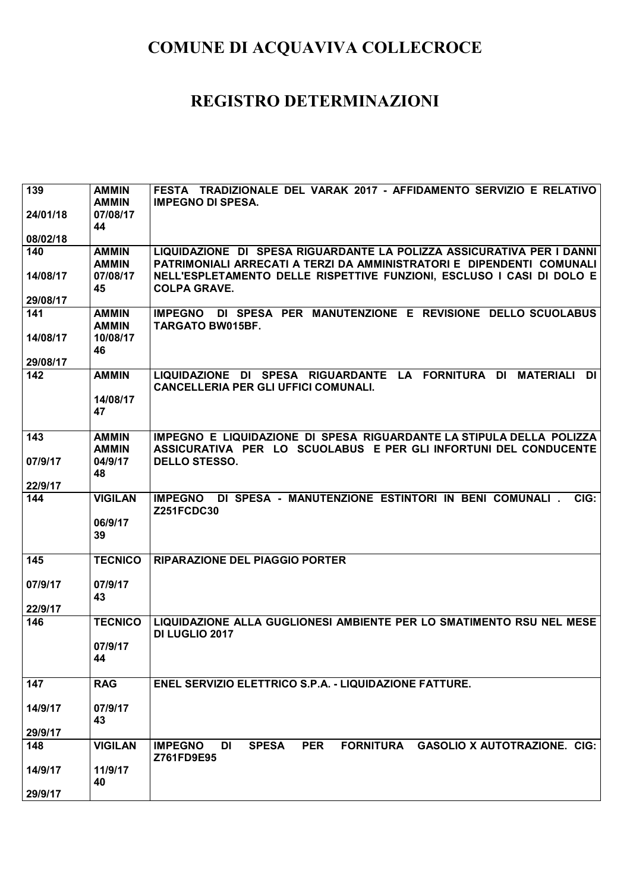| 139                  | <b>AMMIN</b><br><b>AMMIN</b>   | FESTA TRADIZIONALE DEL VARAK 2017 - AFFIDAMENTO SERVIZIO E RELATIVO<br><b>IMPEGNO DI SPESA.</b>                                                                       |
|----------------------|--------------------------------|-----------------------------------------------------------------------------------------------------------------------------------------------------------------------|
| 24/01/18             | 07/08/17<br>44                 |                                                                                                                                                                       |
| 08/02/18             |                                |                                                                                                                                                                       |
| 140                  | <b>AMMIN</b>                   | LIQUIDAZIONE DI SPESA RIGUARDANTE LA POLIZZA ASSICURATIVA PER I DANNI                                                                                                 |
| 14/08/17<br>29/08/17 | <b>AMMIN</b><br>07/08/17<br>45 | PATRIMONIALI ARRECATI A TERZI DA AMMINISTRATORI E DIPENDENTI COMUNALI<br>NELL'ESPLETAMENTO DELLE RISPETTIVE FUNZIONI, ESCLUSO I CASI DI DOLO E<br><b>COLPA GRAVE.</b> |
| 141                  | <b>AMMIN</b>                   | IMPEGNO DI SPESA PER MANUTENZIONE E REVISIONE DELLO SCUOLABUS                                                                                                         |
|                      | <b>AMMIN</b>                   | <b>TARGATO BW015BF.</b>                                                                                                                                               |
| 14/08/17             | 10/08/17                       |                                                                                                                                                                       |
|                      | 46                             |                                                                                                                                                                       |
| 29/08/17<br>142      | <b>AMMIN</b>                   | LIQUIDAZIONE DI SPESA RIGUARDANTE LA FORNITURA DI<br><b>MATERIALI</b><br>DI                                                                                           |
|                      |                                | <b>CANCELLERIA PER GLI UFFICI COMUNALI.</b>                                                                                                                           |
|                      | 14/08/17                       |                                                                                                                                                                       |
|                      | 47                             |                                                                                                                                                                       |
| 143                  | <b>AMMIN</b>                   | IMPEGNO E LIQUIDAZIONE DI SPESA RIGUARDANTE LA STIPULA DELLA POLIZZA                                                                                                  |
|                      | <b>AMMIN</b>                   | ASSICURATIVA PER LO SCUOLABUS E PER GLI INFORTUNI DEL CONDUCENTE                                                                                                      |
| 07/9/17              | 04/9/17                        | <b>DELLO STESSO.</b>                                                                                                                                                  |
|                      | 48                             |                                                                                                                                                                       |
| 22/9/17<br>144       | <b>VIGILAN</b>                 | IMPEGNO DI SPESA - MANUTENZIONE ESTINTORI IN BENI COMUNALI.<br>CIG:                                                                                                   |
|                      |                                | <b>Z251FCDC30</b>                                                                                                                                                     |
|                      | 06/9/17                        |                                                                                                                                                                       |
|                      | 39                             |                                                                                                                                                                       |
| 145                  | <b>TECNICO</b>                 | <b>RIPARAZIONE DEL PIAGGIO PORTER</b>                                                                                                                                 |
|                      |                                |                                                                                                                                                                       |
| 07/9/17              | 07/9/17                        |                                                                                                                                                                       |
| 22/9/17              | 43                             |                                                                                                                                                                       |
| 146                  | <b>TECNICO</b>                 | LIQUIDAZIONE ALLA GUGLIONESI AMBIENTE PER LO SMATIMENTO RSU NEL MESE                                                                                                  |
|                      |                                | <b>DI LUGLIO 2017</b>                                                                                                                                                 |
|                      | 07/9/17                        |                                                                                                                                                                       |
|                      | 44                             |                                                                                                                                                                       |
| 147                  | <b>RAG</b>                     | ENEL SERVIZIO ELETTRICO S.P.A. - LIQUIDAZIONE FATTURE.                                                                                                                |
| 14/9/17              | 07/9/17                        |                                                                                                                                                                       |
|                      | 43                             |                                                                                                                                                                       |
| 29/9/17              |                                |                                                                                                                                                                       |
| 148                  | <b>VIGILAN</b>                 | <b>IMPEGNO</b><br><b>SPESA</b><br><b>PER</b><br><b>FORNITURA</b><br><b>GASOLIO X AUTOTRAZIONE. CIG:</b><br>DI                                                         |
|                      |                                | Z761FD9E95                                                                                                                                                            |
| 14/9/17              | 11/9/17<br>40                  |                                                                                                                                                                       |
| 29/9/17              |                                |                                                                                                                                                                       |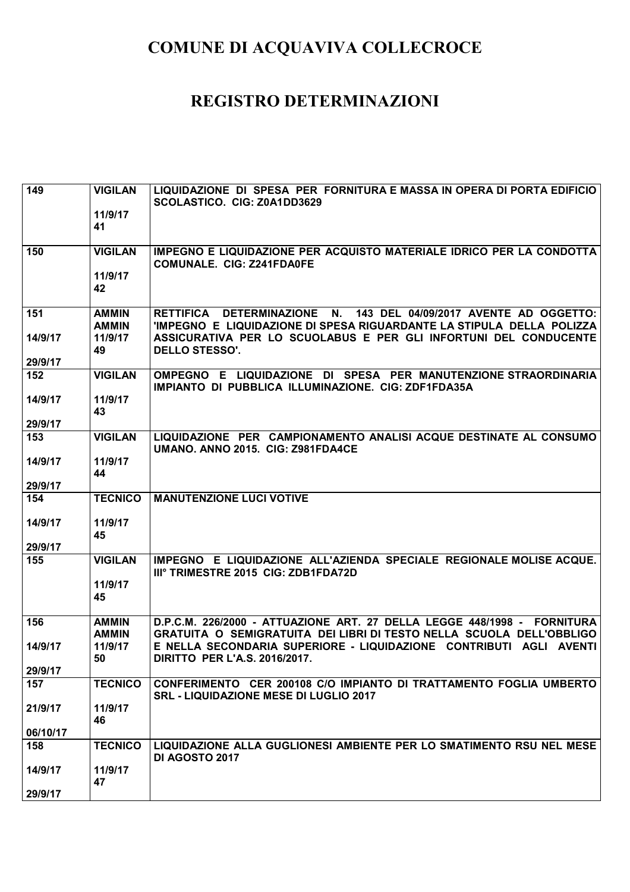| $\overline{149}$ | <b>VIGILAN</b><br>11/9/17<br>41 | LIQUIDAZIONE DI SPESA PER FORNITURA E MASSA IN OPERA DI PORTA EDIFICIO<br>SCOLASTICO. CIG: Z0A1DD3629                                                              |
|------------------|---------------------------------|--------------------------------------------------------------------------------------------------------------------------------------------------------------------|
|                  |                                 |                                                                                                                                                                    |
| 150              | <b>VIGILAN</b>                  | IMPEGNO E LIQUIDAZIONE PER ACQUISTO MATERIALE IDRICO PER LA CONDOTTA<br><b>COMUNALE. CIG: Z241FDA0FE</b>                                                           |
|                  | 11/9/17<br>42                   |                                                                                                                                                                    |
| 151              | <b>AMMIN</b>                    | 143 DEL 04/09/2017 AVENTE AD OGGETTO:<br>RETTIFICA DETERMINAZIONE N.                                                                                               |
| 14/9/17          | <b>AMMIN</b><br>11/9/17<br>49   | 'IMPEGNO E LIQUIDAZIONE DI SPESA RIGUARDANTE LA STIPULA DELLA POLIZZA<br>ASSICURATIVA PER LO SCUOLABUS E PER GLI INFORTUNI DEL CONDUCENTE<br><b>DELLO STESSO'.</b> |
| 29/9/17          |                                 |                                                                                                                                                                    |
| 152              | <b>VIGILAN</b>                  | OMPEGNO E LIQUIDAZIONE DI SPESA PER MANUTENZIONE STRAORDINARIA<br>IMPIANTO DI PUBBLICA ILLUMINAZIONE. CIG: ZDF1FDA35A                                              |
| 14/9/17          | 11/9/17<br>43                   |                                                                                                                                                                    |
| 29/9/17          |                                 |                                                                                                                                                                    |
| 153              | <b>VIGILAN</b>                  | LIQUIDAZIONE PER CAMPIONAMENTO ANALISI ACQUE DESTINATE AL CONSUMO<br>UMANO. ANNO 2015. CIG: Z981FDA4CE                                                             |
| 14/9/17          | 11/9/17                         |                                                                                                                                                                    |
| 29/9/17          | 44                              |                                                                                                                                                                    |
| 154              | <b>TECNICO</b>                  | <b>MANUTENZIONE LUCI VOTIVE</b>                                                                                                                                    |
|                  |                                 |                                                                                                                                                                    |
| 14/9/17          | 11/9/17                         |                                                                                                                                                                    |
| 29/9/17          | 45                              |                                                                                                                                                                    |
| 155              | <b>VIGILAN</b>                  | IMPEGNO E LIQUIDAZIONE ALL'AZIENDA SPECIALE REGIONALE MOLISE ACQUE.<br>IIIº TRIMESTRE 2015 CIG: ZDB1FDA72D                                                         |
|                  | 11/9/17                         |                                                                                                                                                                    |
|                  | 45                              |                                                                                                                                                                    |
| 156              | <b>AMMIN</b><br><b>AMMIN</b>    | D.P.C.M. 226/2000 - ATTUAZIONE ART. 27 DELLA LEGGE 448/1998 - FORNITURA<br>GRATUITA O SEMIGRATUITA DEI LIBRI DI TESTO NELLA SCUOLA DELL'OBBLIGO                    |
| 14/9/17          | 11/9/17<br>50                   | E NELLA SECONDARIA SUPERIORE - LIQUIDAZIONE CONTRIBUTI AGLI AVENTI<br>DIRITTO PER L'A.S. 2016/2017.                                                                |
| 29/9/17          |                                 |                                                                                                                                                                    |
| 157              | <b>TECNICO</b>                  | CONFERIMENTO CER 200108 C/O IMPIANTO DI TRATTAMENTO FOGLIA UMBERTO<br><b>SRL - LIQUIDAZIONE MESE DI LUGLIO 2017</b>                                                |
| 21/9/17          | 11/9/17<br>46                   |                                                                                                                                                                    |
| 06/10/17         |                                 |                                                                                                                                                                    |
| 158              | <b>TECNICO</b>                  | LIQUIDAZIONE ALLA GUGLIONESI AMBIENTE PER LO SMATIMENTO RSU NEL MESE<br>DI AGOSTO 2017                                                                             |
| 14/9/17          | 11/9/17                         |                                                                                                                                                                    |
| 29/9/17          | 47                              |                                                                                                                                                                    |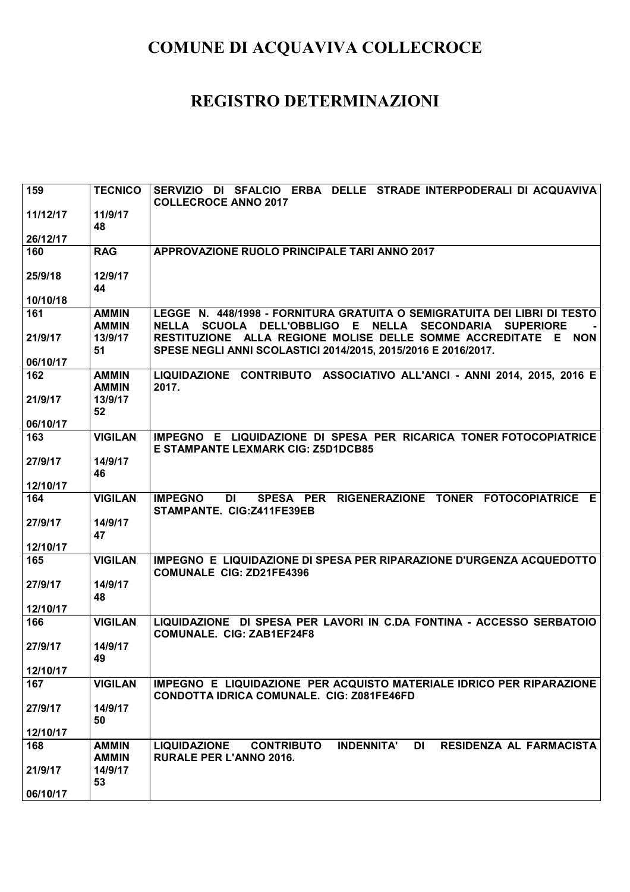| 159      | <b>TECNICO</b>               | SERVIZIO DI SFALCIO ERBA DELLE STRADE INTERPODERALI DI ACQUAVIVA<br><b>COLLECROCE ANNO 2017</b>                                    |
|----------|------------------------------|------------------------------------------------------------------------------------------------------------------------------------|
| 11/12/17 | 11/9/17<br>48                |                                                                                                                                    |
| 26/12/17 |                              |                                                                                                                                    |
| 160      | <b>RAG</b>                   | APPROVAZIONE RUOLO PRINCIPALE TARI ANNO 2017                                                                                       |
| 25/9/18  | 12/9/17<br>44                |                                                                                                                                    |
| 10/10/18 |                              |                                                                                                                                    |
| 161      | <b>AMMIN</b><br><b>AMMIN</b> | LEGGE N. 448/1998 - FORNITURA GRATUITA O SEMIGRATUITA DEI LIBRI DI TESTO<br>NELLA SCUOLA DELL'OBBLIGO E NELLA SECONDARIA SUPERIORE |
| 21/9/17  | 13/9/17<br>51                | RESTITUZIONE ALLA REGIONE MOLISE DELLE SOMME ACCREDITATE E NON<br>SPESE NEGLI ANNI SCOLASTICI 2014/2015, 2015/2016 E 2016/2017.    |
| 06/10/17 |                              |                                                                                                                                    |
| 162      | <b>AMMIN</b><br><b>AMMIN</b> | LIQUIDAZIONE CONTRIBUTO ASSOCIATIVO ALL'ANCI - ANNI 2014, 2015, 2016 E<br>2017.                                                    |
| 21/9/17  | 13/9/17<br>52                |                                                                                                                                    |
| 06/10/17 |                              |                                                                                                                                    |
| 163      | <b>VIGILAN</b>               | IMPEGNO E LIQUIDAZIONE DI SPESA PER RICARICA TONER FOTOCOPIATRICE<br>E STAMPANTE LEXMARK CIG: Z5D1DCB85                            |
| 27/9/17  | 14/9/17                      |                                                                                                                                    |
| 12/10/17 | 46                           |                                                                                                                                    |
| 164      | <b>VIGILAN</b>               | SPESA PER RIGENERAZIONE TONER FOTOCOPIATRICE E<br><b>IMPEGNO</b><br>DI DI<br>STAMPANTE. CIG:Z411FE39EB                             |
| 27/9/17  | 14/9/17<br>47                |                                                                                                                                    |
| 12/10/17 |                              |                                                                                                                                    |
| 165      | <b>VIGILAN</b>               | IMPEGNO E LIQUIDAZIONE DI SPESA PER RIPARAZIONE D'URGENZA ACQUEDOTTO<br><b>COMUNALE CIG: ZD21FE4396</b>                            |
| 27/9/17  | 14/9/17<br>48                |                                                                                                                                    |
| 12/10/17 |                              |                                                                                                                                    |
| 166      | <b>VIGILAN</b>               | LIQUIDAZIONE DI SPESA PER LAVORI IN C.DA FONTINA - ACCESSO SERBATOIO<br><b>COMUNALE. CIG: ZAB1EF24F8</b>                           |
| 27/9/17  | 14/9/17<br>49                |                                                                                                                                    |
| 12/10/17 |                              |                                                                                                                                    |
| 167      | <b>VIGILAN</b>               | IMPEGNO E LIQUIDAZIONE PER ACQUISTO MATERIALE IDRICO PER RIPARAZIONE<br><b>CONDOTTA IDRICA COMUNALE. CIG: Z081FE46FD</b>           |
| 27/9/17  | 14/9/17<br>50                |                                                                                                                                    |
| 12/10/17 |                              |                                                                                                                                    |
| 168      | <b>AMMIN</b>                 | <b>LIQUIDAZIONE</b><br><b>INDENNITA'</b><br><b>DI</b><br>RESIDENZA AL FARMACISTA<br><b>CONTRIBUTO</b>                              |
|          | <b>AMMIN</b>                 | <b>RURALE PER L'ANNO 2016.</b>                                                                                                     |
| 21/9/17  | 14/9/17<br>53                |                                                                                                                                    |
| 06/10/17 |                              |                                                                                                                                    |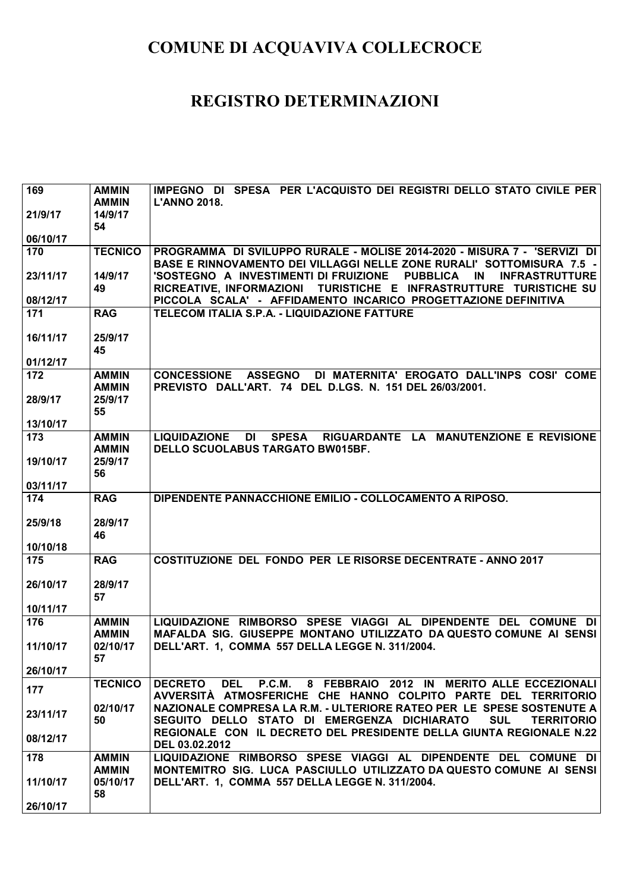| 169      | <b>AMMIN</b>                 | IMPEGNO DI SPESA PER L'ACQUISTO DEI REGISTRI DELLO STATO CIVILE PER                                                                                           |
|----------|------------------------------|---------------------------------------------------------------------------------------------------------------------------------------------------------------|
| 21/9/17  | <b>AMMIN</b><br>14/9/17      | <b>L'ANNO 2018.</b>                                                                                                                                           |
|          | 54                           |                                                                                                                                                               |
| 06/10/17 |                              |                                                                                                                                                               |
| 170      | <b>TECNICO</b>               | PROGRAMMA DI SVILUPPO RURALE - MOLISE 2014-2020 - MISURA 7 - 'SERVIZI DI<br>BASE E RINNOVAMENTO DEI VILLAGGI NELLE ZONE RURALI' SOTTOMISURA 7.5 -             |
| 23/11/17 | 14/9/17<br>49                | 'SOSTEGNO A INVESTIMENTI DI FRUIZIONE<br><b>PUBBLICA</b><br><b>INFRASTRUTTURE</b><br>IN<br>RICREATIVE, INFORMAZIONI TURISTICHE E INFRASTRUTTURE TURISTICHE SU |
| 08/12/17 |                              | PICCOLA SCALA' - AFFIDAMENTO INCARICO PROGETTAZIONE DEFINITIVA                                                                                                |
| 171      | <b>RAG</b>                   | TELECOM ITALIA S.P.A. - LIQUIDAZIONE FATTURE                                                                                                                  |
| 16/11/17 | 25/9/17<br>45                |                                                                                                                                                               |
| 01/12/17 |                              |                                                                                                                                                               |
| 172      | <b>AMMIN</b><br><b>AMMIN</b> | <b>CONCESSIONE ASSEGNO</b><br>DI MATERNITA' EROGATO DALL'INPS COSI' COME<br>PREVISTO DALL'ART. 74 DEL D.LGS. N. 151 DEL 26/03/2001.                           |
| 28/9/17  | 25/9/17<br>55                |                                                                                                                                                               |
| 13/10/17 |                              |                                                                                                                                                               |
| 173      | <b>AMMIN</b><br><b>AMMIN</b> | <b>LIQUIDAZIONE</b><br>DI<br><b>SPESA</b><br>RIGUARDANTE LA MANUTENZIONE E REVISIONE<br>DELLO SCUOLABUS TARGATO BW015BF.                                      |
| 19/10/17 | 25/9/17<br>56                |                                                                                                                                                               |
| 03/11/17 |                              |                                                                                                                                                               |
| 174      | <b>RAG</b>                   | DIPENDENTE PANNACCHIONE EMILIO - COLLOCAMENTO A RIPOSO.                                                                                                       |
| 25/9/18  | 28/9/17<br>46                |                                                                                                                                                               |
| 10/10/18 |                              |                                                                                                                                                               |
| 175      | <b>RAG</b>                   | <b>COSTITUZIONE DEL FONDO PER LE RISORSE DECENTRATE - ANNO 2017</b>                                                                                           |
| 26/10/17 | 28/9/17<br>57                |                                                                                                                                                               |
| 10/11/17 |                              |                                                                                                                                                               |
| 176      | <b>AMMIN</b><br><b>AMMIN</b> | LIQUIDAZIONE RIMBORSO SPESE VIAGGI AL DIPENDENTE DEL COMUNE DI<br>MAFALDA SIG. GIUSEPPE MONTANO UTILIZZATO DA QUESTO COMUNE AI SENSI                          |
| 11/10/17 | 02/10/17<br>57               | DELL'ART. 1, COMMA 557 DELLA LEGGE N. 311/2004.                                                                                                               |
| 26/10/17 |                              |                                                                                                                                                               |
| 177      | <b>TECNICO</b>               | DEL P.C.M. 8 FEBBRAIO 2012 IN MERITO ALLE ECCEZIONALI<br><b>DECRETO</b><br>AVVERSITÀ ATMOSFERICHE CHE HANNO COLPITO PARTE DEL TERRITORIO                      |
| 23/11/17 | 02/10/17<br>50               | NAZIONALE COMPRESA LA R.M. - ULTERIORE RATEO PER LE SPESE SOSTENUTE A<br>SEGUITO DELLO STATO DI EMERGENZA DICHIARATO<br><b>SUL</b><br><b>TERRITORIO</b>       |
| 08/12/17 |                              | REGIONALE CON IL DECRETO DEL PRESIDENTE DELLA GIUNTA REGIONALE N.22<br>DEL 03.02.2012                                                                         |
| 178      | <b>AMMIN</b>                 | LIQUIDAZIONE RIMBORSO SPESE VIAGGI AL DIPENDENTE DEL COMUNE DI                                                                                                |
| 11/10/17 | <b>AMMIN</b><br>05/10/17     | MONTEMITRO SIG. LUCA PASCIULLO UTILIZZATO DA QUESTO COMUNE AI SENSI<br>DELL'ART. 1, COMMA 557 DELLA LEGGE N. 311/2004.                                        |
| 26/10/17 | 58                           |                                                                                                                                                               |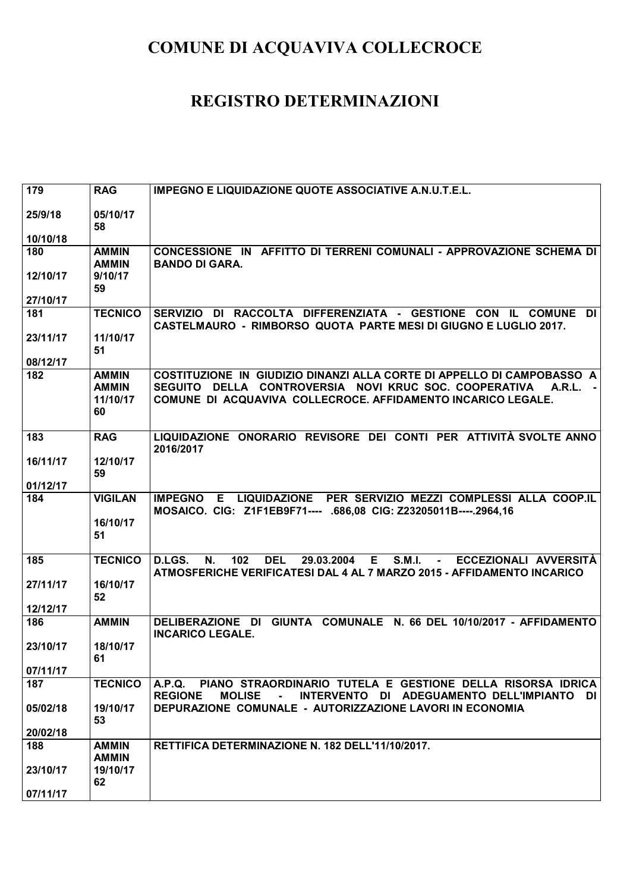| 179                  | <b>RAG</b>                                     | <b>IMPEGNO E LIQUIDAZIONE QUOTE ASSOCIATIVE A.N.U.T.E.L.</b>                                                                                                                                                |
|----------------------|------------------------------------------------|-------------------------------------------------------------------------------------------------------------------------------------------------------------------------------------------------------------|
| 25/9/18<br>10/10/18  | 05/10/17<br>58                                 |                                                                                                                                                                                                             |
| 180                  | <b>AMMIN</b><br><b>AMMIN</b>                   | CONCESSIONE IN AFFITTO DI TERRENI COMUNALI - APPROVAZIONE SCHEMA DI<br><b>BANDO DI GARA.</b>                                                                                                                |
| 12/10/17<br>27/10/17 | 9/10/17<br>59                                  |                                                                                                                                                                                                             |
| 181                  | <b>TECNICO</b>                                 | SERVIZIO DI RACCOLTA DIFFERENZIATA - GESTIONE CON IL COMUNE DI<br><b>CASTELMAURO - RIMBORSO QUOTA PARTE MESI DI GIUGNO E LUGLIO 2017.</b>                                                                   |
| 23/11/17<br>08/12/17 | 11/10/17<br>51                                 |                                                                                                                                                                                                             |
| 182                  | <b>AMMIN</b><br><b>AMMIN</b><br>11/10/17<br>60 | COSTITUZIONE IN GIUDIZIO DINANZI ALLA CORTE DI APPELLO DI CAMPOBASSO A<br>SEGUITO DELLA CONTROVERSIA NOVI KRUC SOC. COOPERATIVA<br>A.R.L. -<br>COMUNE DI ACQUAVIVA COLLECROCE. AFFIDAMENTO INCARICO LEGALE. |
| 183                  | <b>RAG</b>                                     | LIQUIDAZIONE ONORARIO REVISORE DEI CONTI PER ATTIVITÀ SVOLTE ANNO<br>2016/2017                                                                                                                              |
| 16/11/17<br>01/12/17 | 12/10/17<br>59                                 |                                                                                                                                                                                                             |
| 184                  | <b>VIGILAN</b><br>16/10/17<br>51               | IMPEGNO E LIQUIDAZIONE PER SERVIZIO MEZZI COMPLESSI ALLA COOP.IL<br>MOSAICO. CIG: Z1F1EB9F71---- .686,08 CIG: Z23205011B----.2964,16                                                                        |
| 185                  | <b>TECNICO</b>                                 | 102<br><b>DEL</b><br>E.<br><b>S.M.I.</b><br>D.LGS.<br>N.<br>29.03.2004<br>ECCEZIONALI AVVERSITÀ<br>$\sim$<br>ATMOSFERICHE VERIFICATESI DAL 4 AL 7 MARZO 2015 - AFFIDAMENTO INCARICO                         |
| 27/11/17             | 16/10/17<br>52                                 |                                                                                                                                                                                                             |
| 12/12/17<br>186      | <b>AMMIN</b>                                   | GIUNTA COMUNALE N. 66 DEL 10/10/2017 - AFFIDAMENTO<br>DELIBERAZIONE DI                                                                                                                                      |
| 23/10/17             | 18/10/17<br>61                                 | <b>INCARICO LEGALE.</b>                                                                                                                                                                                     |
| 07/11/17             |                                                |                                                                                                                                                                                                             |
| 187                  | <b>TECNICO</b>                                 | A.P.Q. PIANO STRAORDINARIO TUTELA E GESTIONE DELLA RISORSA IDRICA<br><b>REGIONE</b><br><b>MOLISE</b><br>INTERVENTO DI ADEGUAMENTO DELL'IMPIANTO DI<br>$\sim 100$                                            |
| 05/02/18             | 19/10/17<br>53                                 | DEPURAZIONE COMUNALE - AUTORIZZAZIONE LAVORI IN ECONOMIA                                                                                                                                                    |
| 20/02/18             |                                                |                                                                                                                                                                                                             |
| 188                  | <b>AMMIN</b><br><b>AMMIN</b>                   | RETTIFICA DETERMINAZIONE N. 182 DELL'11/10/2017.                                                                                                                                                            |
| 23/10/17<br>07/11/17 | 19/10/17<br>62                                 |                                                                                                                                                                                                             |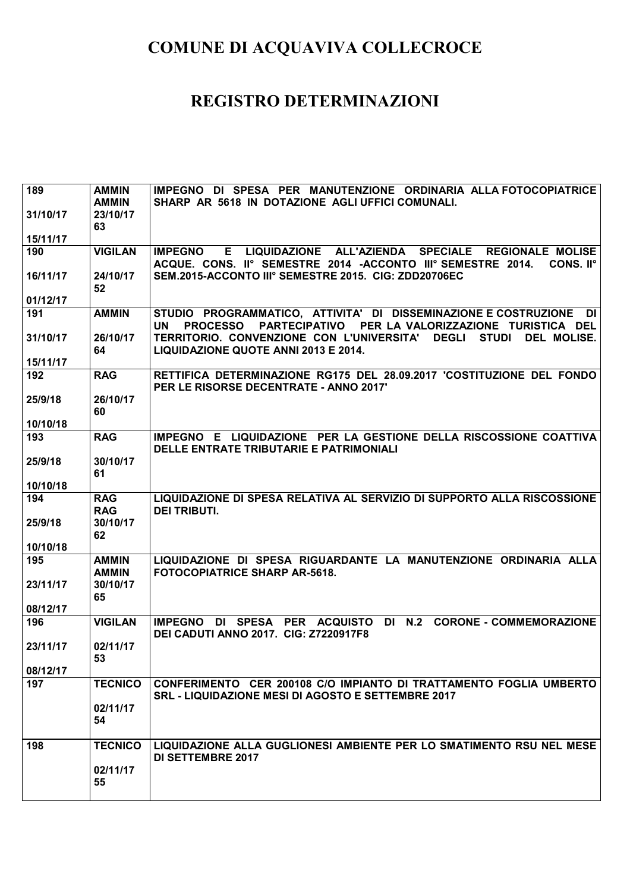| 189      | <b>AMMIN</b>   | IMPEGNO DI SPESA PER MANUTENZIONE ORDINARIA ALLA FOTOCOPIATRICE                                                                                            |
|----------|----------------|------------------------------------------------------------------------------------------------------------------------------------------------------------|
|          | <b>AMMIN</b>   | SHARP AR 5618 IN DOTAZIONE AGLI UFFICI COMUNALI.                                                                                                           |
| 31/10/17 | 23/10/17       |                                                                                                                                                            |
|          | 63             |                                                                                                                                                            |
| 15/11/17 |                |                                                                                                                                                            |
| 190      | <b>VIGILAN</b> | E LIQUIDAZIONE ALL'AZIENDA SPECIALE REGIONALE MOLISE<br><b>IMPEGNO</b>                                                                                     |
|          |                | ACQUE. CONS. II° SEMESTRE 2014 - ACCONTO III° SEMESTRE 2014.<br>CONS. II <sup>o</sup>                                                                      |
| 16/11/17 | 24/10/17       | SEM.2015-ACCONTO III° SEMESTRE 2015. CIG: ZDD20706EC                                                                                                       |
|          | 52             |                                                                                                                                                            |
| 01/12/17 |                |                                                                                                                                                            |
| 191      | <b>AMMIN</b>   | STUDIO PROGRAMMATICO, ATTIVITA' DI DISSEMINAZIONE E COSTRUZIONE<br>DI<br><b>PROCESSO</b><br>PARTECIPATIVO PER LA VALORIZZAZIONE TURISTICA DEL<br><b>UN</b> |
| 31/10/17 | 26/10/17       | TERRITORIO. CONVENZIONE CON L'UNIVERSITA' DEGLI<br><b>STUDI</b><br>DEL MOLISE.                                                                             |
|          | 64             | LIQUIDAZIONE QUOTE ANNI 2013 E 2014.                                                                                                                       |
| 15/11/17 |                |                                                                                                                                                            |
| 192      | <b>RAG</b>     | RETTIFICA DETERMINAZIONE RG175 DEL 28.09.2017 'COSTITUZIONE DEL FONDO                                                                                      |
|          |                | PER LE RISORSE DECENTRATE - ANNO 2017'                                                                                                                     |
| 25/9/18  | 26/10/17       |                                                                                                                                                            |
|          | 60             |                                                                                                                                                            |
| 10/10/18 |                |                                                                                                                                                            |
| 193      | <b>RAG</b>     | IMPEGNO E LIQUIDAZIONE PER LA GESTIONE DELLA RISCOSSIONE COATTIVA                                                                                          |
|          |                | DELLE ENTRATE TRIBUTARIE E PATRIMONIALI                                                                                                                    |
| 25/9/18  | 30/10/17       |                                                                                                                                                            |
|          | 61             |                                                                                                                                                            |
| 10/10/18 |                |                                                                                                                                                            |
| 194      | <b>RAG</b>     | LIQUIDAZIONE DI SPESA RELATIVA AL SERVIZIO DI SUPPORTO ALLA RISCOSSIONE                                                                                    |
|          | <b>RAG</b>     | <b>DEI TRIBUTI.</b>                                                                                                                                        |
|          |                |                                                                                                                                                            |
| 25/9/18  | 30/10/17       |                                                                                                                                                            |
|          | 62             |                                                                                                                                                            |
| 10/10/18 |                |                                                                                                                                                            |
| 195      | <b>AMMIN</b>   | LIQUIDAZIONE DI SPESA RIGUARDANTE LA MANUTENZIONE ORDINARIA ALLA                                                                                           |
|          | <b>AMMIN</b>   | <b>FOTOCOPIATRICE SHARP AR-5618.</b>                                                                                                                       |
| 23/11/17 | 30/10/17<br>65 |                                                                                                                                                            |
| 08/12/17 |                |                                                                                                                                                            |
| 196      | <b>VIGILAN</b> | DI SPESA PER ACQUISTO DI N.2 CORONE - COMMEMORAZIONE<br><b>IMPEGNO</b>                                                                                     |
|          |                | <b>DEI CADUTI ANNO 2017. CIG: Z7220917F8</b>                                                                                                               |
| 23/11/17 | 02/11/17       |                                                                                                                                                            |
|          | 53             |                                                                                                                                                            |
| 08/12/17 |                |                                                                                                                                                            |
| 197      | <b>TECNICO</b> | CONFERIMENTO CER 200108 C/O IMPIANTO DI TRATTAMENTO FOGLIA UMBERTO                                                                                         |
|          |                | <b>SRL - LIQUIDAZIONE MESI DI AGOSTO E SETTEMBRE 2017</b>                                                                                                  |
|          | 02/11/17       |                                                                                                                                                            |
|          | 54             |                                                                                                                                                            |
|          |                |                                                                                                                                                            |
| 198      | <b>TECNICO</b> | LIQUIDAZIONE ALLA GUGLIONESI AMBIENTE PER LO SMATIMENTO RSU NEL MESE                                                                                       |
|          | 02/11/17       | <b>DI SETTEMBRE 2017</b>                                                                                                                                   |
|          | 55             |                                                                                                                                                            |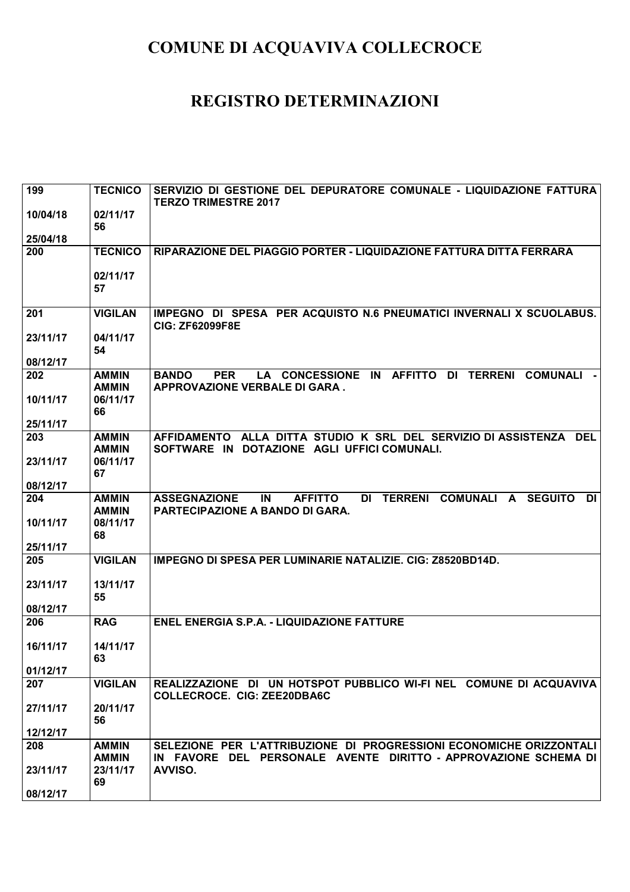| 199      | <b>TECNICO</b>               | SERVIZIO DI GESTIONE DEL DEPURATORE COMUNALE - LIQUIDAZIONE FATTURA<br><b>TERZO TRIMESTRE 2017</b>                                                                   |
|----------|------------------------------|----------------------------------------------------------------------------------------------------------------------------------------------------------------------|
| 10/04/18 | 02/11/17<br>56               |                                                                                                                                                                      |
| 25/04/18 |                              |                                                                                                                                                                      |
| 200      | <b>TECNICO</b>               | RIPARAZIONE DEL PIAGGIO PORTER - LIQUIDAZIONE FATTURA DITTA FERRARA                                                                                                  |
|          | 02/11/17<br>57               |                                                                                                                                                                      |
| 201      | <b>VIGILAN</b>               | IMPEGNO DI SPESA PER ACQUISTO N.6 PNEUMATICI INVERNALI X SCUOLABUS.<br><b>CIG: ZF62099F8E</b>                                                                        |
| 23/11/17 | 04/11/17<br>54               |                                                                                                                                                                      |
| 08/12/17 |                              |                                                                                                                                                                      |
| 202      | <b>AMMIN</b><br><b>AMMIN</b> | <b>PER</b><br>LA CONCESSIONE IN AFFITTO<br>DI TERRENI<br><b>COMUNALI</b><br><b>BANDO</b><br>APPROVAZIONE VERBALE DI GARA.                                            |
| 10/11/17 | 06/11/17<br>66               |                                                                                                                                                                      |
| 25/11/17 |                              |                                                                                                                                                                      |
| 203      | <b>AMMIN</b><br><b>AMMIN</b> | AFFIDAMENTO ALLA DITTA STUDIO K SRL DEL SERVIZIO DI ASSISTENZA<br><b>DEL</b><br>SOFTWARE IN DOTAZIONE AGLI UFFICI COMUNALI.                                          |
| 23/11/17 | 06/11/17<br>67               |                                                                                                                                                                      |
| 08/12/17 |                              |                                                                                                                                                                      |
| 204      | <b>AMMIN</b><br><b>AMMIN</b> | <b>COMUNALI</b><br><b>ASSEGNAZIONE</b><br>IN<br><b>AFFITTO</b><br><b>TERRENI</b><br><b>DI</b><br>DI<br><b>SEGUITO</b><br>A<br><b>PARTECIPAZIONE A BANDO DI GARA.</b> |
| 10/11/17 | 08/11/17<br>68               |                                                                                                                                                                      |
| 25/11/17 |                              |                                                                                                                                                                      |
| 205      | <b>VIGILAN</b>               | IMPEGNO DI SPESA PER LUMINARIE NATALIZIE. CIG: Z8520BD14D.                                                                                                           |
| 23/11/17 | 13/11/17<br>55               |                                                                                                                                                                      |
| 08/12/17 |                              |                                                                                                                                                                      |
| 206      | <b>RAG</b>                   | <b>ENEL ENERGIA S.P.A. - LIQUIDAZIONE FATTURE</b>                                                                                                                    |
| 16/11/17 | 14/11/17<br>63               |                                                                                                                                                                      |
| 01/12/17 |                              |                                                                                                                                                                      |
| 207      | <b>VIGILAN</b>               | REALIZZAZIONE DI UN HOTSPOT PUBBLICO WI-FI NEL COMUNE DI ACQUAVIVA<br><b>COLLECROCE. CIG: ZEE20DBA6C</b>                                                             |
| 27/11/17 | 20/11/17<br>56               |                                                                                                                                                                      |
| 12/12/17 |                              |                                                                                                                                                                      |
| 208      | <b>AMMIN</b>                 | SELEZIONE PER L'ATTRIBUZIONE DI PROGRESSIONI ECONOMICHE ORIZZONTALI                                                                                                  |
|          | <b>AMMIN</b>                 | IN FAVORE DEL PERSONALE AVENTE DIRITTO - APPROVAZIONE SCHEMA DI                                                                                                      |
| 23/11/17 | 23/11/17<br>69               | AVVISO.                                                                                                                                                              |
| 08/12/17 |                              |                                                                                                                                                                      |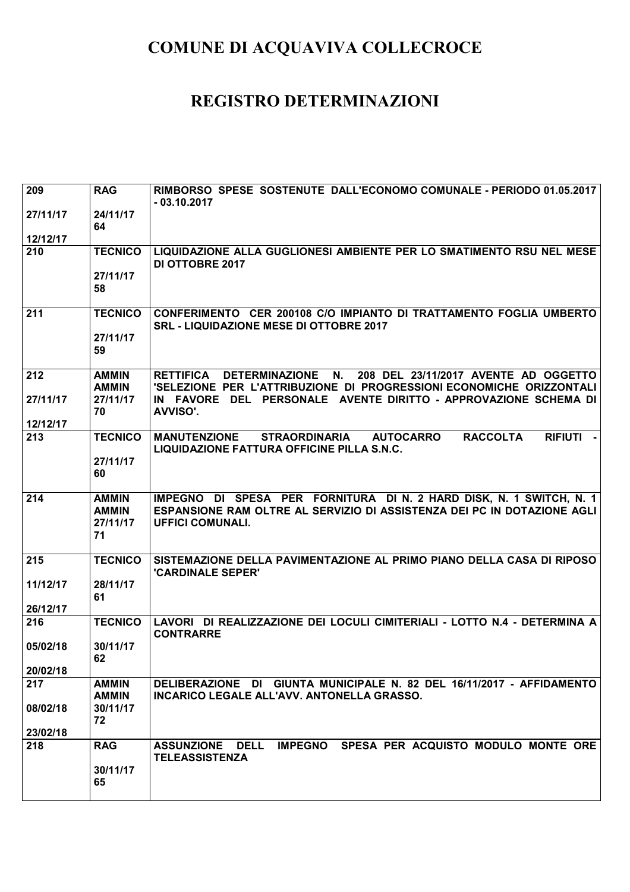| 209      | <b>RAG</b>                   | RIMBORSO SPESE SOSTENUTE DALL'ECONOMO COMUNALE - PERIODO 01.05.2017<br>$-03.10.2017$                                                                  |
|----------|------------------------------|-------------------------------------------------------------------------------------------------------------------------------------------------------|
| 27/11/17 | 24/11/17<br>64               |                                                                                                                                                       |
| 12/12/17 |                              |                                                                                                                                                       |
| 210      | <b>TECNICO</b>               | LIQUIDAZIONE ALLA GUGLIONESI AMBIENTE PER LO SMATIMENTO RSU NEL MESE<br><b>DI OTTOBRE 2017</b>                                                        |
|          | 27/11/17<br>58               |                                                                                                                                                       |
| 211      | <b>TECNICO</b>               | CONFERIMENTO CER 200108 C/O IMPIANTO DI TRATTAMENTO FOGLIA UMBERTO<br><b>SRL - LIQUIDAZIONE MESE DI OTTOBRE 2017</b>                                  |
|          | 27/11/17<br>59               |                                                                                                                                                       |
| 212      | <b>AMMIN</b><br><b>AMMIN</b> | DETERMINAZIONE N.<br>208 DEL 23/11/2017 AVENTE AD OGGETTO<br><b>RETTIFICA</b><br>'SELEZIONE PER L'ATTRIBUZIONE DI PROGRESSIONI ECONOMICHE ORIZZONTALI |
| 27/11/17 | 27/11/17<br>70               | IN FAVORE DEL PERSONALE AVENTE DIRITTO - APPROVAZIONE SCHEMA DI<br>AVVISO'.                                                                           |
| 12/12/17 |                              |                                                                                                                                                       |
| 213      | <b>TECNICO</b>               | <b>RACCOLTA</b><br><b>RIFIUTI</b><br><b>MANUTENZIONE</b><br><b>STRAORDINARIA</b><br><b>AUTOCARRO</b><br>LIQUIDAZIONE FATTURA OFFICINE PILLA S.N.C.    |
|          | 27/11/17<br>60               |                                                                                                                                                       |
| 214      | <b>AMMIN</b>                 | IMPEGNO DI SPESA PER FORNITURA DI N. 2 HARD DISK, N. 1 SWITCH, N. 1                                                                                   |
|          | <b>AMMIN</b>                 | ESPANSIONE RAM OLTRE AL SERVIZIO DI ASSISTENZA DEI PC IN DOTAZIONE AGLI                                                                               |
|          | 27/11/17<br>71               | <b>UFFICI COMUNALI.</b>                                                                                                                               |
| 215      | <b>TECNICO</b>               | SISTEMAZIONE DELLA PAVIMENTAZIONE AL PRIMO PIANO DELLA CASA DI RIPOSO<br><b>'CARDINALE SEPER'</b>                                                     |
| 11/12/17 | 28/11/17<br>61               |                                                                                                                                                       |
| 26/12/17 |                              |                                                                                                                                                       |
| 216      | <b>TECNICO</b>               | LAVORI DI REALIZZAZIONE DEI LOCULI CIMITERIALI - LOTTO N.4 - DETERMINA A<br><b>CONTRARRE</b>                                                          |
| 05/02/18 | 30/11/17<br>62               |                                                                                                                                                       |
| 20/02/18 |                              |                                                                                                                                                       |
| 217      | <b>AMMIN</b><br><b>AMMIN</b> | DELIBERAZIONE DI GIUNTA MUNICIPALE N. 82 DEL 16/11/2017 - AFFIDAMENTO<br>INCARICO LEGALE ALL'AVV. ANTONELLA GRASSO.                                   |
| 08/02/18 | 30/11/17<br>72               |                                                                                                                                                       |
| 23/02/18 |                              |                                                                                                                                                       |
| 218      | <b>RAG</b>                   | IMPEGNO SPESA PER ACQUISTO MODULO MONTE ORE<br><b>DELL</b><br><b>ASSUNZIONE</b><br><b>TELEASSISTENZA</b>                                              |
|          | 30/11/17<br>65               |                                                                                                                                                       |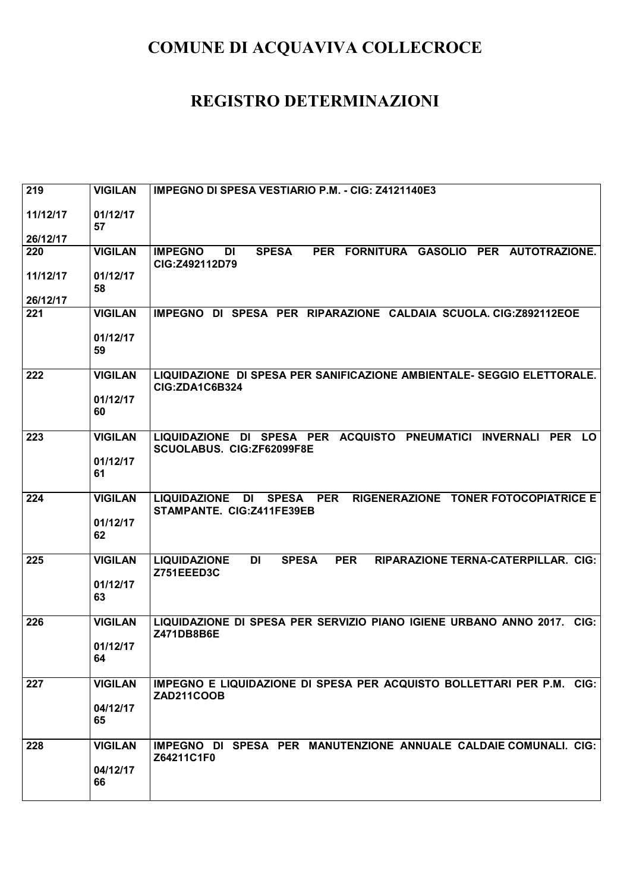| 219                  | <b>VIGILAN</b>             | IMPEGNO DI SPESA VESTIARIO P.M. - CIG: Z4121140E3                                                                   |
|----------------------|----------------------------|---------------------------------------------------------------------------------------------------------------------|
| 11/12/17             | 01/12/17<br>57             |                                                                                                                     |
| 26/12/17<br>220      | <b>VIGILAN</b>             | PER FORNITURA GASOLIO PER AUTOTRAZIONE.<br><b>IMPEGNO</b><br><b>SPESA</b><br>DI                                     |
|                      |                            | CIG:Z492112D79                                                                                                      |
| 11/12/17<br>26/12/17 | 01/12/17<br>58             |                                                                                                                     |
| 221                  | <b>VIGILAN</b>             | IMPEGNO DI SPESA PER RIPARAZIONE CALDAIA SCUOLA. CIG:Z892112EOE                                                     |
|                      | 01/12/17<br>59             |                                                                                                                     |
| 222                  | <b>VIGILAN</b><br>01/12/17 | LIQUIDAZIONE DI SPESA PER SANIFICAZIONE AMBIENTALE- SEGGIO ELETTORALE.<br>CIG:ZDA1C6B324                            |
|                      | 60                         |                                                                                                                     |
| 223                  | <b>VIGILAN</b>             | LIQUIDAZIONE DI SPESA PER ACQUISTO PNEUMATICI INVERNALI<br><b>PER</b><br><b>LO</b><br>SCUOLABUS. CIG:ZF62099F8E     |
|                      | 01/12/17<br>61             |                                                                                                                     |
| 224                  | <b>VIGILAN</b>             | RIGENERAZIONE TONER FOTOCOPIATRICE E<br><b>LIQUIDAZIONE</b><br>SPESA PER<br>DI<br>STAMPANTE. CIG:Z411FE39EB         |
|                      | 01/12/17<br>62             |                                                                                                                     |
| 225                  | <b>VIGILAN</b>             | <b>SPESA</b><br><b>PER</b><br>RIPARAZIONE TERNA-CATERPILLAR. CIG:<br><b>LIQUIDAZIONE</b><br><b>DI</b><br>Z751EEED3C |
|                      | 01/12/17<br>63             |                                                                                                                     |
| 226                  | <b>VIGILAN</b>             | LIQUIDAZIONE DI SPESA PER SERVIZIO PIANO IGIENE URBANO ANNO 2017.<br>$ClG$ :<br>Z471DB8B6E                          |
|                      | 01/12/17<br>64             |                                                                                                                     |
| 227                  | <b>VIGILAN</b>             | IMPEGNO E LIQUIDAZIONE DI SPESA PER ACQUISTO BOLLETTARI PER P.M. CIG:<br><b>ZAD211COOB</b>                          |
|                      | 04/12/17<br>65             |                                                                                                                     |
| 228                  | <b>VIGILAN</b>             | IMPEGNO DI SPESA PER MANUTENZIONE ANNUALE CALDAIE COMUNALI. CIG:<br>Z64211C1F0                                      |
|                      | 04/12/17<br>66             |                                                                                                                     |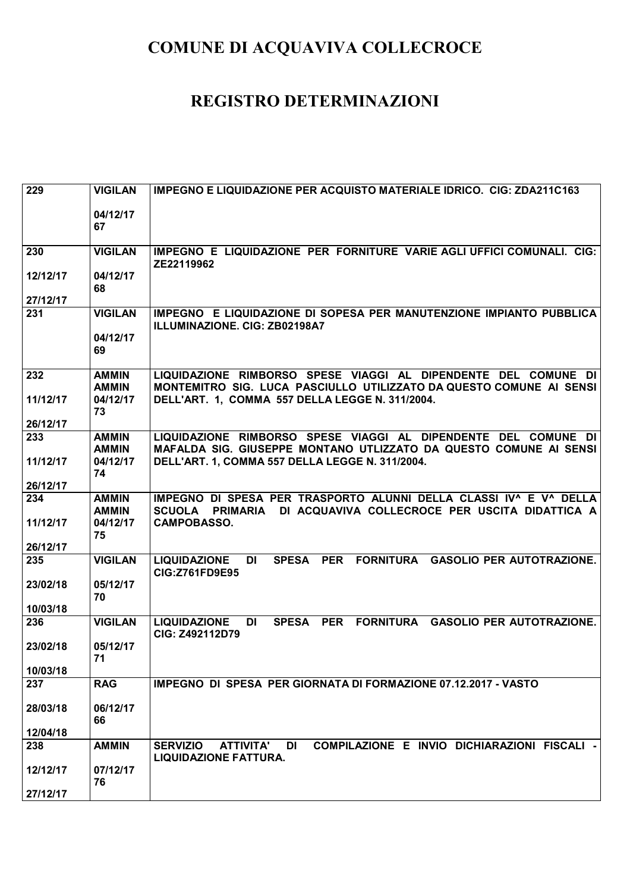| 229      | <b>VIGILAN</b> | <b>IMPEGNO E LIQUIDAZIONE PER ACQUISTO MATERIALE IDRICO. CIG: ZDA211C163</b>              |
|----------|----------------|-------------------------------------------------------------------------------------------|
|          |                |                                                                                           |
|          | 04/12/17<br>67 |                                                                                           |
|          |                |                                                                                           |
| 230      | <b>VIGILAN</b> | IMPEGNO E LIQUIDAZIONE PER FORNITURE VARIE AGLI UFFICI COMUNALI. CIG:                     |
|          |                | ZE22119962                                                                                |
| 12/12/17 | 04/12/17<br>68 |                                                                                           |
| 27/12/17 |                |                                                                                           |
| 231      | <b>VIGILAN</b> | IMPEGNO E LIQUIDAZIONE DI SOPESA PER MANUTENZIONE IMPIANTO PUBBLICA                       |
|          |                | ILLUMINAZIONE, CIG: ZB02198A7                                                             |
|          | 04/12/17<br>69 |                                                                                           |
|          |                |                                                                                           |
| 232      | <b>AMMIN</b>   | LIQUIDAZIONE RIMBORSO SPESE VIAGGI AL DIPENDENTE DEL COMUNE DI                            |
|          | <b>AMMIN</b>   | MONTEMITRO SIG. LUCA PASCIULLO UTILIZZATO DA QUESTO COMUNE AI SENSI                       |
| 11/12/17 | 04/12/17<br>73 | DELL'ART. 1, COMMA 557 DELLA LEGGE N. 311/2004.                                           |
| 26/12/17 |                |                                                                                           |
| 233      | <b>AMMIN</b>   | LIQUIDAZIONE RIMBORSO SPESE VIAGGI AL DIPENDENTE DEL COMUNE DI                            |
|          | <b>AMMIN</b>   | MAFALDA SIG. GIUSEPPE MONTANO UTLIZZATO DA QUESTO COMUNE AI SENSI                         |
| 11/12/17 | 04/12/17<br>74 | DELL'ART. 1, COMMA 557 DELLA LEGGE N. 311/2004.                                           |
| 26/12/17 |                |                                                                                           |
| 234      | <b>AMMIN</b>   | IMPEGNO DI SPESA PER TRASPORTO ALUNNI DELLA CLASSI IV^ E V^ DELLA                         |
|          | <b>AMMIN</b>   | DI ACQUAVIVA COLLECROCE PER USCITA DIDATTICA A<br>SCUOLA PRIMARIA                         |
| 11/12/17 | 04/12/17<br>75 | <b>CAMPOBASSO.</b>                                                                        |
| 26/12/17 |                |                                                                                           |
| 235      | <b>VIGILAN</b> | SPESA PER FORNITURA GASOLIO PER AUTOTRAZIONE.<br><b>LIQUIDAZIONE</b><br><b>DI</b>         |
|          |                | <b>CIG:Z761FD9E95</b>                                                                     |
| 23/02/18 | 05/12/17<br>70 |                                                                                           |
| 10/03/18 |                |                                                                                           |
| 236      | <b>VIGILAN</b> | SPESA PER FORNITURA GASOLIO PER AUTOTRAZIONE.<br><b>LIQUIDAZIONE</b><br><b>DI</b>         |
|          |                | CIG: Z492112D79                                                                           |
| 23/02/18 | 05/12/17       |                                                                                           |
| 10/03/18 | 71             |                                                                                           |
| 237      | <b>RAG</b>     | IMPEGNO DI SPESA PER GIORNATA DI FORMAZIONE 07.12.2017 - VASTO                            |
|          |                |                                                                                           |
| 28/03/18 | 06/12/17<br>66 |                                                                                           |
| 12/04/18 |                |                                                                                           |
| 238      | <b>AMMIN</b>   | COMPILAZIONE E INVIO DICHIARAZIONI FISCALI -<br><b>SERVIZIO</b><br>DI<br><b>ATTIVITA'</b> |
|          |                | <b>LIQUIDAZIONE FATTURA.</b>                                                              |
| 12/12/17 | 07/12/17<br>76 |                                                                                           |
| 27/12/17 |                |                                                                                           |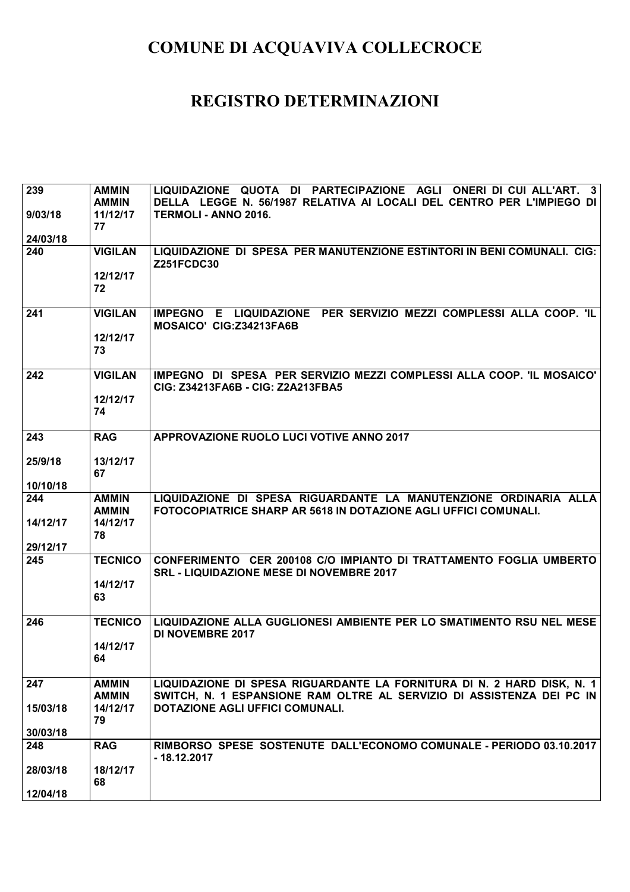| 239      | <b>AMMIN</b>             | QUOTA DI PARTECIPAZIONE AGLI<br><b>LIQUIDAZIONE</b><br>ONERI DI CUI ALL'ART.<br>$\mathbf{3}$                          |
|----------|--------------------------|-----------------------------------------------------------------------------------------------------------------------|
|          | <b>AMMIN</b><br>11/12/17 | DELLA LEGGE N. 56/1987 RELATIVA AI LOCALI DEL CENTRO PER L'IMPIEGO DI<br>TERMOLI - ANNO 2016.                         |
| 9/03/18  | 77                       |                                                                                                                       |
| 24/03/18 |                          |                                                                                                                       |
| 240      | <b>VIGILAN</b>           | LIQUIDAZIONE DI SPESA PER MANUTENZIONE ESTINTORI IN BENI COMUNALI. CIG:<br><b>Z251FCDC30</b>                          |
|          | 12/12/17                 |                                                                                                                       |
|          | 72                       |                                                                                                                       |
| 241      | <b>VIGILAN</b>           | PER SERVIZIO MEZZI COMPLESSI ALLA COOP. 'IL<br><b>IMPEGNO</b><br>E LIQUIDAZIONE<br>MOSAICO' CIG: Z34213FA6B           |
|          | 12/12/17<br>73           |                                                                                                                       |
| 242      | <b>VIGILAN</b>           | IMPEGNO DI SPESA PER SERVIZIO MEZZI COMPLESSI ALLA COOP. 'IL MOSAICO'<br>CIG: Z34213FA6B - CIG: Z2A213FBA5            |
|          | 12/12/17<br>74           |                                                                                                                       |
| 243      | <b>RAG</b>               | APPROVAZIONE RUOLO LUCI VOTIVE ANNO 2017                                                                              |
| 25/9/18  | 13/12/17                 |                                                                                                                       |
|          | 67                       |                                                                                                                       |
| 10/10/18 |                          |                                                                                                                       |
| 244      | <b>AMMIN</b>             | LIQUIDAZIONE DI SPESA RIGUARDANTE LA MANUTENZIONE ORDINARIA ALLA                                                      |
| 14/12/17 | <b>AMMIN</b><br>14/12/17 | FOTOCOPIATRICE SHARP AR 5618 IN DOTAZIONE AGLI UFFICI COMUNALI.                                                       |
|          | 78                       |                                                                                                                       |
| 29/12/17 |                          |                                                                                                                       |
| 245      | <b>TECNICO</b>           | CONFERIMENTO CER 200108 C/O IMPIANTO DI TRATTAMENTO FOGLIA UMBERTO<br><b>SRL - LIQUIDAZIONE MESE DI NOVEMBRE 2017</b> |
|          | 14/12/17                 |                                                                                                                       |
|          | 63                       |                                                                                                                       |
| 246      | <b>TECNICO</b>           | LIQUIDAZIONE ALLA GUGLIONESI AMBIENTE PER LO SMATIMENTO RSU NEL MESE<br><b>DI NOVEMBRE 2017</b>                       |
|          | 14/12/17                 |                                                                                                                       |
|          | 64                       |                                                                                                                       |
| 247      | <b>AMMIN</b>             | LIQUIDAZIONE DI SPESA RIGUARDANTE LA FORNITURA DI N. 2 HARD DISK, N. 1                                                |
|          | <b>AMMIN</b>             | SWITCH, N. 1 ESPANSIONE RAM OLTRE AL SERVIZIO DI ASSISTENZA DEI PC IN                                                 |
| 15/03/18 | 14/12/17                 | <b>DOTAZIONE AGLI UFFICI COMUNALI.</b>                                                                                |
| 30/03/18 | 79                       |                                                                                                                       |
| 248      | <b>RAG</b>               | RIMBORSO SPESE SOSTENUTE DALL'ECONOMO COMUNALE - PERIODO 03.10.2017                                                   |
|          |                          | $-18.12.2017$                                                                                                         |
| 28/03/18 | 18/12/17<br>68           |                                                                                                                       |
| 12/04/18 |                          |                                                                                                                       |